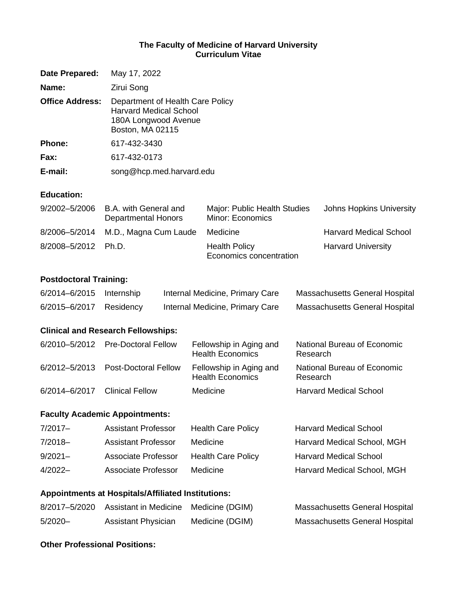### **The Faculty of Medicine of Harvard University Curriculum Vitae**

| Date Prepared:         | May 17, 2022                                                                                                  |
|------------------------|---------------------------------------------------------------------------------------------------------------|
| Name:                  | Zirui Song                                                                                                    |
| <b>Office Address:</b> | Department of Health Care Policy<br><b>Harvard Medical School</b><br>180A Longwood Avenue<br>Boston, MA 02115 |
| Phone:                 | 617-432-3430                                                                                                  |
| Fax:                   | 617-432-0173                                                                                                  |
| E-mail:                | song@hcp.med.harvard.edu                                                                                      |

### **Education:**

| 9/2002-5/2006       | B.A. with General and<br>Departmental Honors | Major: Public Health Studies<br>Minor: Economics | <b>Johns Hopkins University</b> |
|---------------------|----------------------------------------------|--------------------------------------------------|---------------------------------|
|                     | 8/2006-5/2014 M.D., Magna Cum Laude          | Medicine                                         | <b>Harvard Medical School</b>   |
| 8/2008-5/2012 Ph.D. |                                              | <b>Health Policy</b><br>Economics concentration  | <b>Harvard University</b>       |

### **Postdoctoral Training:**

| 6/2014-6/2015 Internship | Internal Medicine, Primary Care | <b>Massachusetts General Hospital</b> |
|--------------------------|---------------------------------|---------------------------------------|
| 6/2015-6/2017 Residency  | Internal Medicine, Primary Care | <b>Massachusetts General Hospital</b> |

### **Clinical and Research Fellowships:**

|               | 6/2010-5/2012 Pre-Doctoral Fellow  | Fellowship in Aging and<br><b>Health Economics</b> | National Bureau of Economic<br>Research |
|---------------|------------------------------------|----------------------------------------------------|-----------------------------------------|
|               | 6/2012-5/2013 Post-Doctoral Fellow | Fellowship in Aging and<br><b>Health Economics</b> | National Bureau of Economic<br>Research |
| 6/2014-6/2017 | <b>Clinical Fellow</b>             | Medicine                                           | <b>Harvard Medical School</b>           |

### **Faculty Academic Appointments:**

| $7/2017-$  | <b>Assistant Professor</b> | <b>Health Care Policy</b> | <b>Harvard Medical School</b> |
|------------|----------------------------|---------------------------|-------------------------------|
| $7/2018-$  | <b>Assistant Professor</b> | Medicine                  | Harvard Medical School, MGH   |
| $9/2021 -$ | <b>Associate Professor</b> | <b>Health Care Policy</b> | <b>Harvard Medical School</b> |
| $4/2022-$  | Associate Professor        | Medicine                  | Harvard Medical School, MGH   |

### **Appointments at Hospitals/Affiliated Institutions:**

|            | 8/2017-5/2020 Assistant in Medicine Medicine (DGIM) |                 | Massachusetts General Hospital |
|------------|-----------------------------------------------------|-----------------|--------------------------------|
| $5/2020 -$ | <b>Assistant Physician</b>                          | Medicine (DGIM) | Massachusetts General Hospital |

### **Other Professional Positions:**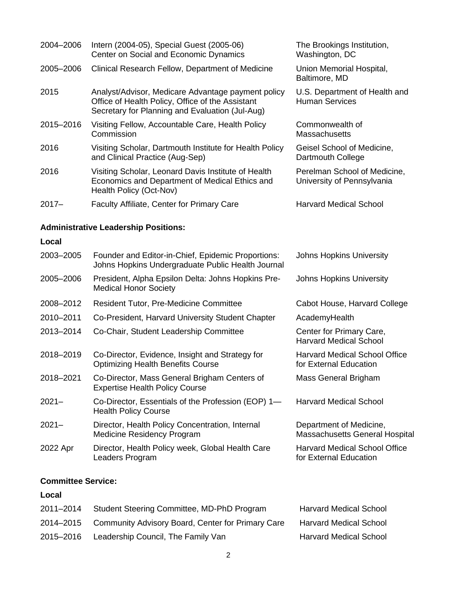| 2004-2006 | Intern (2004-05), Special Guest (2005-06)<br>The Brookings Institution,<br>Center on Social and Economic Dynamics<br>Washington, DC                       |                                                                |
|-----------|-----------------------------------------------------------------------------------------------------------------------------------------------------------|----------------------------------------------------------------|
| 2005-2006 | Clinical Research Fellow, Department of Medicine                                                                                                          | Union Memorial Hospital,<br>Baltimore, MD                      |
| 2015      | Analyst/Advisor, Medicare Advantage payment policy<br>Office of Health Policy, Office of the Assistant<br>Secretary for Planning and Evaluation (Jul-Aug) | U.S. Department of Health and<br><b>Human Services</b>         |
| 2015-2016 | Visiting Fellow, Accountable Care, Health Policy<br>Commission                                                                                            | Commonwealth of<br>Massachusetts                               |
| 2016      | Visiting Scholar, Dartmouth Institute for Health Policy<br>and Clinical Practice (Aug-Sep)                                                                | Geisel School of Medicine,<br>Dartmouth College                |
| 2016      | Visiting Scholar, Leonard Davis Institute of Health<br>Economics and Department of Medical Ethics and<br>Health Policy (Oct-Nov)                          | Perelman School of Medicine,<br>University of Pennsylvania     |
| $2017 -$  | Faculty Affiliate, Center for Primary Care                                                                                                                | <b>Harvard Medical School</b>                                  |
|           | <b>Administrative Leadership Positions:</b>                                                                                                               |                                                                |
| Local     |                                                                                                                                                           |                                                                |
| 2003-2005 | Founder and Editor-in-Chief, Epidemic Proportions:<br>Johns Hopkins Undergraduate Public Health Journal                                                   | <b>Johns Hopkins University</b>                                |
| 2005-2006 | President, Alpha Epsilon Delta: Johns Hopkins Pre-<br><b>Medical Honor Society</b>                                                                        | <b>Johns Hopkins University</b>                                |
| 2008-2012 | <b>Resident Tutor, Pre-Medicine Committee</b>                                                                                                             | Cabot House, Harvard College                                   |
| 2010-2011 | Co-President, Harvard University Student Chapter                                                                                                          | AcademyHealth                                                  |
| 2013-2014 | Co-Chair, Student Leadership Committee                                                                                                                    | Center for Primary Care,<br><b>Harvard Medical School</b>      |
| 2018-2019 | Co-Director, Evidence, Insight and Strategy for<br><b>Optimizing Health Benefits Course</b>                                                               | Harvard Medical School Office<br>for External Education        |
| 2018-2021 | Co-Director, Mass General Brigham Centers of<br><b>Expertise Health Policy Course</b>                                                                     | Mass General Brigham                                           |
| $2021 -$  | Co-Director, Essentials of the Profession (EOP) 1-<br><b>Health Policy Course</b>                                                                         | <b>Harvard Medical School</b>                                  |
| $2021 -$  | Director, Health Policy Concentration, Internal<br><b>Medicine Residency Program</b>                                                                      | Department of Medicine,<br>Massachusetts General Hospital      |
| 2022 Apr  | Director, Health Policy week, Global Health Care<br>Leaders Program                                                                                       | <b>Harvard Medical School Office</b><br>for External Education |

## **Committee Service:**

# **Local**

| 2011-2014 | Student Steering Committee, MD-PhD Program        | <b>Harvard Medical School</b> |
|-----------|---------------------------------------------------|-------------------------------|
| 2014-2015 | Community Advisory Board, Center for Primary Care | <b>Harvard Medical School</b> |
| 2015-2016 | Leadership Council, The Family Van                | <b>Harvard Medical School</b> |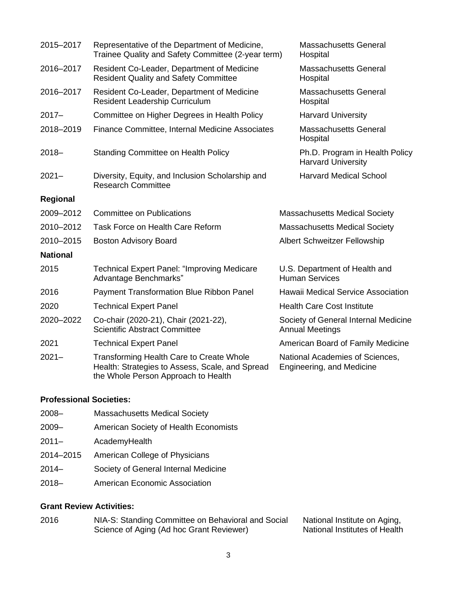| 2015-2017       | Representative of the Department of Medicine,<br>Trainee Quality and Safety Committee (2-year term)<br>Hospital                           |                                           | <b>Massachusetts General</b>                                   |
|-----------------|-------------------------------------------------------------------------------------------------------------------------------------------|-------------------------------------------|----------------------------------------------------------------|
| 2016-2017       | Resident Co-Leader, Department of Medicine<br><b>Resident Quality and Safety Committee</b>                                                |                                           | <b>Massachusetts General</b><br>Hospital                       |
| 2016-2017       | Resident Co-Leader, Department of Medicine<br><b>Resident Leadership Curriculum</b>                                                       |                                           | <b>Massachusetts General</b><br>Hospital                       |
| $2017 -$        | Committee on Higher Degrees in Health Policy                                                                                              |                                           | <b>Harvard University</b>                                      |
| 2018-2019       | Finance Committee, Internal Medicine Associates                                                                                           |                                           | <b>Massachusetts General</b><br>Hospital                       |
| $2018 -$        | <b>Standing Committee on Health Policy</b>                                                                                                |                                           | Ph.D. Program in Health Policy<br><b>Harvard University</b>    |
| $2021 -$        | Diversity, Equity, and Inclusion Scholarship and<br><b>Research Committee</b>                                                             |                                           | <b>Harvard Medical School</b>                                  |
| <b>Regional</b> |                                                                                                                                           |                                           |                                                                |
| 2009-2012       | <b>Committee on Publications</b>                                                                                                          |                                           | <b>Massachusetts Medical Society</b>                           |
| 2010-2012       | Task Force on Health Care Reform                                                                                                          |                                           | <b>Massachusetts Medical Society</b>                           |
| 2010-2015       | <b>Boston Advisory Board</b>                                                                                                              |                                           | <b>Albert Schweitzer Fellowship</b>                            |
| <b>National</b> |                                                                                                                                           |                                           |                                                                |
| 2015            | <b>Technical Expert Panel: "Improving Medicare</b><br>Advantage Benchmarks"                                                               |                                           | U.S. Department of Health and<br><b>Human Services</b>         |
| 2016            | <b>Payment Transformation Blue Ribbon Panel</b>                                                                                           | <b>Hawaii Medical Service Association</b> |                                                                |
| 2020            | <b>Technical Expert Panel</b>                                                                                                             |                                           | <b>Health Care Cost Institute</b>                              |
| 2020-2022       | Co-chair (2020-21), Chair (2021-22),<br><b>Scientific Abstract Committee</b>                                                              |                                           | Society of General Internal Medicine<br><b>Annual Meetings</b> |
| 2021            | <b>Technical Expert Panel</b>                                                                                                             |                                           | American Board of Family Medicine                              |
| $2021 -$        | <b>Transforming Health Care to Create Whole</b><br>Health: Strategies to Assess, Scale, and Spread<br>the Whole Person Approach to Health |                                           | National Academies of Sciences,<br>Engineering, and Medicine   |

### **Professional Societies:**

- 2008– Massachusetts Medical Society
- 2009– American Society of Health Economists
- 2011– AcademyHealth
- 2014–2015 American College of Physicians
- 2014– Society of General Internal Medicine
- 2018– American Economic Association

### **Grant Review Activities:**

| 2016 | NIA-S: Standing Committee on Behavioral and Social | National Institute on Aging,  |
|------|----------------------------------------------------|-------------------------------|
|      | Science of Aging (Ad hoc Grant Reviewer)           | National Institutes of Health |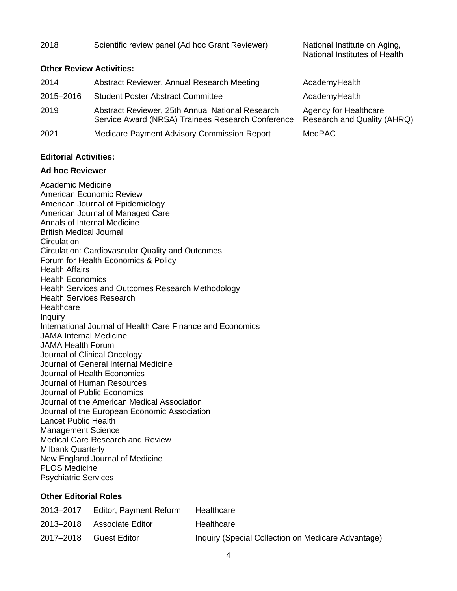| 2018                            | Scientific review panel (Ad hoc Grant Reviewer)                                                       | National Institute on Aging,<br>National Institutes of Health |
|---------------------------------|-------------------------------------------------------------------------------------------------------|---------------------------------------------------------------|
| <b>Other Review Activities:</b> |                                                                                                       |                                                               |
| 2014                            | Abstract Reviewer, Annual Research Meeting                                                            | AcademyHealth                                                 |
| 2015-2016                       | <b>Student Poster Abstract Committee</b>                                                              | AcademyHealth                                                 |
| 2019                            | Abstract Reviewer, 25th Annual National Research<br>Service Award (NRSA) Trainees Research Conference | Agency for Healthcare<br>Research and Quality (AHRQ)          |
| 2021                            | Medicare Payment Advisory Commission Report                                                           | <b>MedPAC</b>                                                 |

#### **Editorial Activities:**

#### **Ad hoc Reviewer**

Academic Medicine American Economic Review American Journal of Epidemiology American Journal of Managed Care Annals of Internal Medicine British Medical Journal **Circulation** Circulation: Cardiovascular Quality and Outcomes Forum for Health Economics & Policy Health Affairs Health Economics Health Services and Outcomes Research Methodology Health Services Research **Healthcare** Inquiry International Journal of Health Care Finance and Economics JAMA Internal Medicine JAMA Health Forum Journal of Clinical Oncology Journal of General Internal Medicine Journal of Health Economics Journal of Human Resources Journal of Public Economics Journal of the American Medical Association Journal of the European Economic Association Lancet Public Health Management Science Medical Care Research and Review Milbank Quarterly New England Journal of Medicine PLOS Medicine Psychiatric Services

### **Other Editorial Roles**

| 2013-2017 | Editor, Payment Reform     | Healthcare                                         |
|-----------|----------------------------|----------------------------------------------------|
|           | 2013-2018 Associate Editor | Healthcare                                         |
|           | 2017-2018 Guest Editor     | Inquiry (Special Collection on Medicare Advantage) |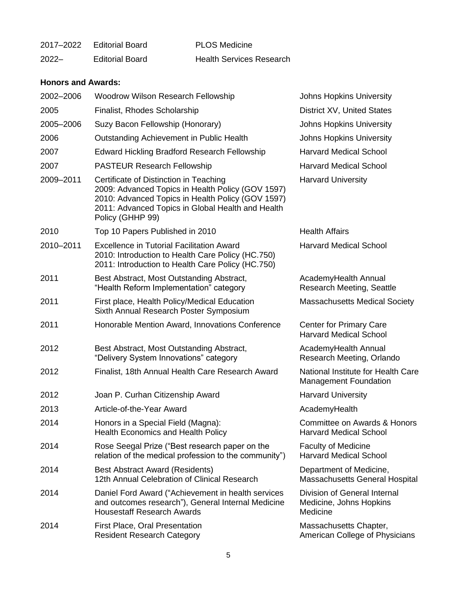| 2017-2022 | Editorial Board        | <b>PLOS Medicine</b>            |
|-----------|------------------------|---------------------------------|
| $2022 -$  | <b>Editorial Board</b> | <b>Health Services Research</b> |

### **Honors and Awards:**

| 2002-2006 | <b>Woodrow Wilson Research Fellowship</b>                                                                                                                                                                                 | <b>Johns Hopkins University</b>                                     |
|-----------|---------------------------------------------------------------------------------------------------------------------------------------------------------------------------------------------------------------------------|---------------------------------------------------------------------|
| 2005      | Finalist, Rhodes Scholarship                                                                                                                                                                                              | District XV, United States                                          |
| 2005-2006 | Suzy Bacon Fellowship (Honorary)                                                                                                                                                                                          | <b>Johns Hopkins University</b>                                     |
| 2006      | Outstanding Achievement in Public Health                                                                                                                                                                                  | <b>Johns Hopkins University</b>                                     |
| 2007      | <b>Edward Hickling Bradford Research Fellowship</b>                                                                                                                                                                       | <b>Harvard Medical School</b>                                       |
| 2007      | <b>PASTEUR Research Fellowship</b>                                                                                                                                                                                        | <b>Harvard Medical School</b>                                       |
| 2009-2011 | Certificate of Distinction in Teaching<br>2009: Advanced Topics in Health Policy (GOV 1597)<br>2010: Advanced Topics in Health Policy (GOV 1597)<br>2011: Advanced Topics in Global Health and Health<br>Policy (GHHP 99) | <b>Harvard University</b>                                           |
| 2010      | Top 10 Papers Published in 2010                                                                                                                                                                                           | <b>Health Affairs</b>                                               |
| 2010-2011 | <b>Excellence in Tutorial Facilitation Award</b><br>2010: Introduction to Health Care Policy (HC.750)<br>2011: Introduction to Health Care Policy (HC.750)                                                                | <b>Harvard Medical School</b>                                       |
| 2011      | Best Abstract, Most Outstanding Abstract,<br>"Health Reform Implementation" category                                                                                                                                      | AcademyHealth Annual<br><b>Research Meeting, Seattle</b>            |
| 2011      | First place, Health Policy/Medical Education<br>Sixth Annual Research Poster Symposium                                                                                                                                    | <b>Massachusetts Medical Society</b>                                |
| 2011      | Honorable Mention Award, Innovations Conference                                                                                                                                                                           | <b>Center for Primary Care</b><br><b>Harvard Medical School</b>     |
| 2012      | Best Abstract, Most Outstanding Abstract,<br>"Delivery System Innovations" category                                                                                                                                       | AcademyHealth Annual<br>Research Meeting, Orlando                   |
| 2012      | Finalist, 18th Annual Health Care Research Award                                                                                                                                                                          | National Institute for Health Care<br><b>Management Foundation</b>  |
| 2012      | Joan P. Curhan Citizenship Award                                                                                                                                                                                          | <b>Harvard University</b>                                           |
| 2013      | Article-of-the-Year Award                                                                                                                                                                                                 | AcademyHealth                                                       |
| 2014      | Honors in a Special Field (Magna):<br><b>Health Economics and Health Policy</b>                                                                                                                                           | Committee on Awards & Honors<br><b>Harvard Medical School</b>       |
| 2014      | Rose Seegal Prize ("Best research paper on the<br>relation of the medical profession to the community")                                                                                                                   | <b>Faculty of Medicine</b><br><b>Harvard Medical School</b>         |
| 2014      | <b>Best Abstract Award (Residents)</b><br>12th Annual Celebration of Clinical Research                                                                                                                                    | Department of Medicine,<br>Massachusetts General Hospital           |
| 2014      | Daniel Ford Award ("Achievement in health services<br>and outcomes research"), General Internal Medicine<br><b>Housestaff Research Awards</b>                                                                             | Division of General Internal<br>Medicine, Johns Hopkins<br>Medicine |
| 2014      | <b>First Place, Oral Presentation</b><br><b>Resident Research Category</b>                                                                                                                                                | Massachusetts Chapter,<br>American College of Physicians            |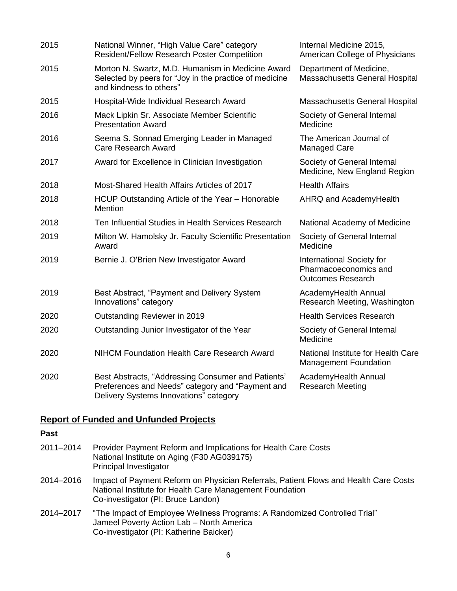| 2015 | National Winner, "High Value Care" category<br><b>Resident/Fellow Research Poster Competition</b>                                                | Internal Medicine 2015,<br>American College of Physicians                      |
|------|--------------------------------------------------------------------------------------------------------------------------------------------------|--------------------------------------------------------------------------------|
| 2015 | Morton N. Swartz, M.D. Humanism in Medicine Award<br>Selected by peers for "Joy in the practice of medicine<br>and kindness to others"           | Department of Medicine,<br>Massachusetts General Hospital                      |
| 2015 | Hospital-Wide Individual Research Award                                                                                                          | Massachusetts General Hospital                                                 |
| 2016 | Mack Lipkin Sr. Associate Member Scientific<br><b>Presentation Award</b>                                                                         | Society of General Internal<br>Medicine                                        |
| 2016 | Seema S. Sonnad Emerging Leader in Managed<br><b>Care Research Award</b>                                                                         | The American Journal of<br><b>Managed Care</b>                                 |
| 2017 | Award for Excellence in Clinician Investigation                                                                                                  | Society of General Internal<br>Medicine, New England Region                    |
| 2018 | Most-Shared Health Affairs Articles of 2017                                                                                                      | <b>Health Affairs</b>                                                          |
| 2018 | HCUP Outstanding Article of the Year - Honorable<br><b>Mention</b>                                                                               | AHRQ and AcademyHealth                                                         |
| 2018 | Ten Influential Studies in Health Services Research                                                                                              | National Academy of Medicine                                                   |
| 2019 | Milton W. Hamolsky Jr. Faculty Scientific Presentation<br>Award                                                                                  | Society of General Internal<br>Medicine                                        |
| 2019 | Bernie J. O'Brien New Investigator Award                                                                                                         | International Society for<br>Pharmacoeconomics and<br><b>Outcomes Research</b> |
| 2019 | Best Abstract, "Payment and Delivery System<br>Innovations" category                                                                             | AcademyHealth Annual<br>Research Meeting, Washington                           |
| 2020 | Outstanding Reviewer in 2019                                                                                                                     | <b>Health Services Research</b>                                                |
| 2020 | Outstanding Junior Investigator of the Year                                                                                                      | Society of General Internal<br>Medicine                                        |
| 2020 | <b>NIHCM Foundation Health Care Research Award</b>                                                                                               | National Institute for Health Care<br><b>Management Foundation</b>             |
| 2020 | Best Abstracts, "Addressing Consumer and Patients'<br>Preferences and Needs" category and "Payment and<br>Delivery Systems Innovations" category | AcademyHealth Annual<br><b>Research Meeting</b>                                |

# **Report of Funded and Unfunded Projects**

## **Past**

| 2011-2014 | Provider Payment Reform and Implications for Health Care Costs<br>National Institute on Aging (F30 AG039175)<br>Principal Investigator                                                 |
|-----------|----------------------------------------------------------------------------------------------------------------------------------------------------------------------------------------|
| 2014-2016 | Impact of Payment Reform on Physician Referrals, Patient Flows and Health Care Costs<br>National Institute for Health Care Management Foundation<br>Co-investigator (PI: Bruce Landon) |
| 2014-2017 | "The Impact of Employee Wellness Programs: A Randomized Controlled Trial"<br>Jameel Poverty Action Lab - North America<br>Co-investigator (PI: Katherine Baicker)                      |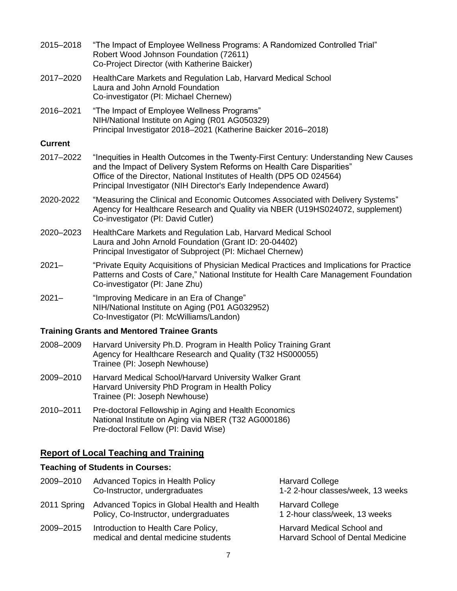| 2015-2018      | "The Impact of Employee Wellness Programs: A Randomized Controlled Trial"<br>Robert Wood Johnson Foundation (72611)<br>Co-Project Director (with Katherine Baicker)                                                                                                                                        |
|----------------|------------------------------------------------------------------------------------------------------------------------------------------------------------------------------------------------------------------------------------------------------------------------------------------------------------|
| 2017-2020      | Health Care Markets and Regulation Lab, Harvard Medical School<br>Laura and John Arnold Foundation<br>Co-investigator (PI: Michael Chernew)                                                                                                                                                                |
| 2016-2021      | "The Impact of Employee Wellness Programs"<br>NIH/National Institute on Aging (R01 AG050329)<br>Principal Investigator 2018-2021 (Katherine Baicker 2016-2018)                                                                                                                                             |
| <b>Current</b> |                                                                                                                                                                                                                                                                                                            |
| 2017-2022      | "Inequities in Health Outcomes in the Twenty-First Century: Understanding New Causes<br>and the Impact of Delivery System Reforms on Health Care Disparities"<br>Office of the Director, National Institutes of Health (DP5 OD 024564)<br>Principal Investigator (NIH Director's Early Independence Award) |
| 2020-2022      | "Measuring the Clinical and Economic Outcomes Associated with Delivery Systems"<br>Agency for Healthcare Research and Quality via NBER (U19HS024072, supplement)<br>Co-investigator (PI: David Cutler)                                                                                                     |
| 2020-2023      | Health Care Markets and Regulation Lab, Harvard Medical School<br>Laura and John Arnold Foundation (Grant ID: 20-04402)<br>Principal Investigator of Subproject (PI: Michael Chernew)                                                                                                                      |
| $2021 -$       | "Private Equity Acquisitions of Physician Medical Practices and Implications for Practice<br>Patterns and Costs of Care," National Institute for Health Care Management Foundation<br>Co-investigator (PI: Jane Zhu)                                                                                       |
| $2021 -$       | "Improving Medicare in an Era of Change"<br>NIH/National Institute on Aging (P01 AG032952)<br>Co-Investigator (PI: McWilliams/Landon)                                                                                                                                                                      |
|                | <b>Training Grants and Mentored Trainee Grants</b>                                                                                                                                                                                                                                                         |
| 2008-2009      | Harvard University Ph.D. Program in Health Policy Training Grant<br>Agency for Healthcare Research and Quality (T32 HS000055)<br>Trainee (PI: Joseph Newhouse)                                                                                                                                             |
| 2009-2010      | Harvard Medical School/Harvard University Walker Grant<br>Harvard University PhD Program in Health Policy<br>Trainee (PI: Joseph Newhouse)                                                                                                                                                                 |
| 2010-2011      | Pre-doctoral Fellowship in Aging and Health Economics<br>National Institute on Aging via NBER (T32 AG000186)<br>Pre-doctoral Fellow (PI: David Wise)                                                                                                                                                       |

# **Report of Local Teaching and Training**

# **Teaching of Students in Courses:**

| 2009-2010   | <b>Advanced Topics in Health Policy</b><br>Co-Instructor, undergraduates             | <b>Harvard College</b><br>1-2 2-hour classes/week, 13 weeks     |
|-------------|--------------------------------------------------------------------------------------|-----------------------------------------------------------------|
| 2011 Spring | Advanced Topics in Global Health and Health<br>Policy, Co-Instructor, undergraduates | <b>Harvard College</b><br>1 2-hour class/week, 13 weeks         |
| 2009-2015   | Introduction to Health Care Policy,<br>medical and dental medicine students          | Harvard Medical School and<br>Harvard School of Dental Medicine |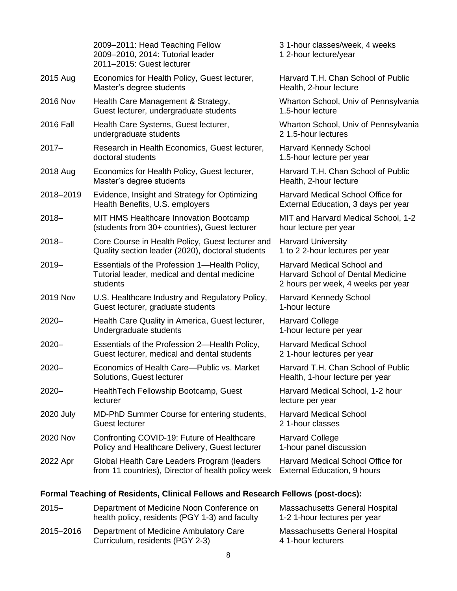|                  | 2009-2011: Head Teaching Fellow<br>2009-2010, 2014: Tutorial leader<br>2011-2015: Guest lecturer          | 31-hour classes/week, 4 weeks<br>1 2-hour lecture/year                                                       |
|------------------|-----------------------------------------------------------------------------------------------------------|--------------------------------------------------------------------------------------------------------------|
| 2015 Aug         | Economics for Health Policy, Guest lecturer,<br>Master's degree students                                  | Harvard T.H. Chan School of Public<br>Health, 2-hour lecture                                                 |
| 2016 Nov         | Health Care Management & Strategy,<br>Guest lecturer, undergraduate students                              | Wharton School, Univ of Pennsylvania<br>1.5-hour lecture                                                     |
| <b>2016 Fall</b> | Health Care Systems, Guest lecturer,<br>undergraduate students                                            | Wharton School, Univ of Pennsylvania<br>21.5-hour lectures                                                   |
| $2017 -$         | Research in Health Economics, Guest lecturer,<br>doctoral students                                        | <b>Harvard Kennedy School</b><br>1.5-hour lecture per year                                                   |
| 2018 Aug         | Economics for Health Policy, Guest lecturer,<br>Master's degree students                                  | Harvard T.H. Chan School of Public<br>Health, 2-hour lecture                                                 |
| 2018-2019        | Evidence, Insight and Strategy for Optimizing<br>Health Benefits, U.S. employers                          | Harvard Medical School Office for<br>External Education, 3 days per year                                     |
| $2018 -$         | MIT HMS Healthcare Innovation Bootcamp<br>(students from 30+ countries), Guest lecturer                   | MIT and Harvard Medical School, 1-2<br>hour lecture per year                                                 |
| $2018 -$         | Core Course in Health Policy, Guest lecturer and<br>Quality section leader (2020), doctoral students      | <b>Harvard University</b><br>1 to 2 2-hour lectures per year                                                 |
| $2019 -$         | Essentials of the Profession 1-Health Policy,<br>Tutorial leader, medical and dental medicine<br>students | Harvard Medical School and<br><b>Harvard School of Dental Medicine</b><br>2 hours per week, 4 weeks per year |
| <b>2019 Nov</b>  | U.S. Healthcare Industry and Regulatory Policy,<br>Guest lecturer, graduate students                      | Harvard Kennedy School<br>1-hour lecture                                                                     |
| $2020 -$         | Health Care Quality in America, Guest lecturer,<br>Undergraduate students                                 | <b>Harvard College</b><br>1-hour lecture per year                                                            |
| $2020 -$         | Essentials of the Profession 2-Health Policy,<br>Guest lecturer, medical and dental students              | <b>Harvard Medical School</b><br>21-hour lectures per year                                                   |
| $2020 -$         | Economics of Health Care-Public vs. Market<br>Solutions, Guest lecturer                                   | Harvard T.H. Chan School of Public<br>Health, 1-hour lecture per year                                        |
| $2020 -$         | Health Tech Fellowship Bootcamp, Guest<br>lecturer                                                        | Harvard Medical School, 1-2 hour<br>lecture per year                                                         |
| 2020 July        | MD-PhD Summer Course for entering students,<br><b>Guest lecturer</b>                                      | <b>Harvard Medical School</b><br>21-hour classes                                                             |
| 2020 Nov         | Confronting COVID-19: Future of Healthcare<br>Policy and Healthcare Delivery, Guest lecturer              | <b>Harvard College</b><br>1-hour panel discussion                                                            |
| 2022 Apr         | Global Health Care Leaders Program (leaders<br>from 11 countries), Director of health policy week         | Harvard Medical School Office for<br>External Education, 9 hours                                             |

# **Formal Teaching of Residents, Clinical Fellows and Research Fellows (post-docs):**

| $2015 -$  | Department of Medicine Noon Conference on<br>health policy, residents (PGY 1-3) and faculty | <b>Massachusetts General Hospital</b><br>1-2 1-hour lectures per year |
|-----------|---------------------------------------------------------------------------------------------|-----------------------------------------------------------------------|
| 2015-2016 | Department of Medicine Ambulatory Care<br>Curriculum, residents (PGY 2-3)                   | Massachusetts General Hospital<br>4 1-hour lecturers                  |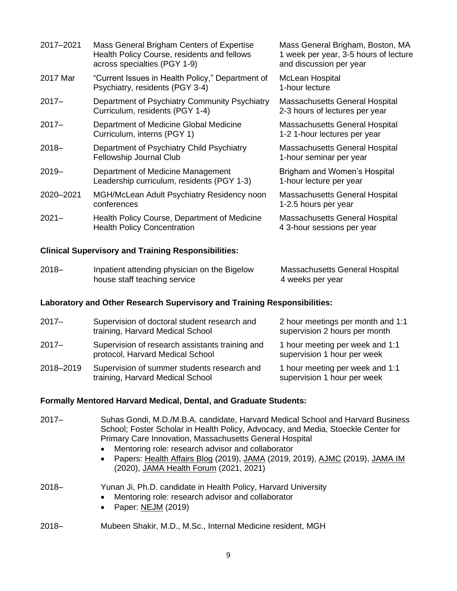| 2017-2021 | Mass General Brigham Centers of Expertise<br>Health Policy Course, residents and fellows<br>across specialties (PGY 1-9) | Mass General Brigham, Boston, MA<br>1 week per year, 3-5 hours of lecture<br>and discussion per year |
|-----------|--------------------------------------------------------------------------------------------------------------------------|------------------------------------------------------------------------------------------------------|
| 2017 Mar  | "Current Issues in Health Policy," Department of<br>Psychiatry, residents (PGY 3-4)                                      | McLean Hospital<br>1-hour lecture                                                                    |
| $2017 -$  | Department of Psychiatry Community Psychiatry<br>Curriculum, residents (PGY 1-4)                                         | Massachusetts General Hospital<br>2-3 hours of lectures per year                                     |
| $2017 -$  | Department of Medicine Global Medicine<br>Curriculum, interns (PGY 1)                                                    | Massachusetts General Hospital<br>1-2 1-hour lectures per year                                       |
| $2018 -$  | Department of Psychiatry Child Psychiatry<br>Fellowship Journal Club                                                     | Massachusetts General Hospital<br>1-hour seminar per year                                            |
| $2019 -$  | Department of Medicine Management<br>Leadership curriculum, residents (PGY 1-3)                                          | Brigham and Women's Hospital<br>1-hour lecture per year                                              |
| 2020-2021 | MGH/McLean Adult Psychiatry Residency noon<br>conferences                                                                | Massachusetts General Hospital<br>1-2.5 hours per year                                               |
| $2021 -$  | Health Policy Course, Department of Medicine<br><b>Health Policy Concentration</b>                                       | Massachusetts General Hospital<br>4 3-hour sessions per year                                         |

# **Clinical Supervisory and Training Responsibilities:**

| $2018 -$ | Inpatient attending physician on the Bigelow | Massachusetts General Hospital |
|----------|----------------------------------------------|--------------------------------|
|          | house staff teaching service                 | 4 weeks per year               |

# **Laboratory and Other Research Supervisory and Training Responsibilities:**

| $2017 -$  | Supervision of doctoral student research and<br>training, Harvard Medical School    | 2 hour meetings per month and 1:1<br>supervision 2 hours per month |
|-----------|-------------------------------------------------------------------------------------|--------------------------------------------------------------------|
| $2017 -$  | Supervision of research assistants training and<br>protocol, Harvard Medical School | 1 hour meeting per week and 1:1<br>supervision 1 hour per week     |
| 2018-2019 | Supervision of summer students research and<br>training, Harvard Medical School     | 1 hour meeting per week and 1:1<br>supervision 1 hour per week     |

# **Formally Mentored Harvard Medical, Dental, and Graduate Students:**

| $2017 -$ | Suhas Gondi, M.D./M.B.A. candidate, Harvard Medical School and Harvard Business<br>School; Foster Scholar in Health Policy, Advocacy, and Media, Stoeckle Center for<br>Primary Care Innovation, Massachusetts General Hospital<br>Mentoring role: research advisor and collaborator<br>Papers: Health Affairs Blog (2019), JAMA (2019, 2019), AJMC (2019), JAMA IM<br>$\bullet$<br>(2020), JAMA Health Forum (2021, 2021) |
|----------|----------------------------------------------------------------------------------------------------------------------------------------------------------------------------------------------------------------------------------------------------------------------------------------------------------------------------------------------------------------------------------------------------------------------------|
| $2018 -$ | Yunan Ji, Ph.D. candidate in Health Policy, Harvard University<br>Mentoring role: research advisor and collaborator<br>$\bullet$<br>Paper: NEJM (2019)<br>$\bullet$                                                                                                                                                                                                                                                        |
| $2018 -$ | Mubeen Shakir, M.D., M.Sc., Internal Medicine resident, MGH                                                                                                                                                                                                                                                                                                                                                                |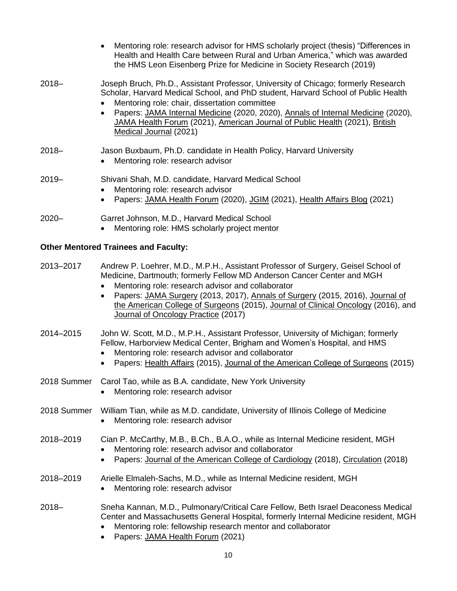|             | Mentoring role: research advisor for HMS scholarly project (thesis) "Differences in<br>Health and Health Care between Rural and Urban America," which was awarded<br>the HMS Leon Eisenberg Prize for Medicine in Society Research (2019)                                                                                                                                                                                                               |
|-------------|---------------------------------------------------------------------------------------------------------------------------------------------------------------------------------------------------------------------------------------------------------------------------------------------------------------------------------------------------------------------------------------------------------------------------------------------------------|
| $2018 -$    | Joseph Bruch, Ph.D., Assistant Professor, University of Chicago; formerly Research<br>Scholar, Harvard Medical School, and PhD student, Harvard School of Public Health<br>Mentoring role: chair, dissertation committee<br>Papers: JAMA Internal Medicine (2020, 2020), Annals of Internal Medicine (2020),<br>$\bullet$<br>JAMA Health Forum (2021), American Journal of Public Health (2021), British<br>Medical Journal (2021)                      |
| $2018 -$    | Jason Buxbaum, Ph.D. candidate in Health Policy, Harvard University<br>Mentoring role: research advisor<br>$\bullet$                                                                                                                                                                                                                                                                                                                                    |
| $2019 -$    | Shivani Shah, M.D. candidate, Harvard Medical School<br>Mentoring role: research advisor<br>Papers: JAMA Health Forum (2020), JGIM (2021), Health Affairs Blog (2021)<br>$\bullet$                                                                                                                                                                                                                                                                      |
| $2020 -$    | Garret Johnson, M.D., Harvard Medical School<br>Mentoring role: HMS scholarly project mentor<br>$\bullet$                                                                                                                                                                                                                                                                                                                                               |
|             | <b>Other Mentored Trainees and Faculty:</b>                                                                                                                                                                                                                                                                                                                                                                                                             |
| 2013-2017   | Andrew P. Loehrer, M.D., M.P.H., Assistant Professor of Surgery, Geisel School of<br>Medicine, Dartmouth; formerly Fellow MD Anderson Cancer Center and MGH<br>Mentoring role: research advisor and collaborator<br>$\bullet$<br>Papers: JAMA Surgery (2013, 2017), Annals of Surgery (2015, 2016), Journal of<br>$\bullet$<br>the American College of Surgeons (2015), Journal of Clinical Oncology (2016), and<br>Journal of Oncology Practice (2017) |
| 2014-2015   | John W. Scott, M.D., M.P.H., Assistant Professor, University of Michigan; formerly<br>Fellow, Harborview Medical Center, Brigham and Women's Hospital, and HMS<br>Mentoring role: research advisor and collaborator<br>Papers: Health Affairs (2015), Journal of the American College of Surgeons (2015)<br>$\bullet$                                                                                                                                   |
|             | 2018 Summer Carol Tao, while as B.A. candidate, New York University<br>Mentoring role: research advisor                                                                                                                                                                                                                                                                                                                                                 |
| 2018 Summer | William Tian, while as M.D. candidate, University of Illinois College of Medicine<br>Mentoring role: research advisor                                                                                                                                                                                                                                                                                                                                   |
| 2018-2019   | Cian P. McCarthy, M.B., B.Ch., B.A.O., while as Internal Medicine resident, MGH<br>Mentoring role: research advisor and collaborator<br>Papers: Journal of the American College of Cardiology (2018), Circulation (2018)                                                                                                                                                                                                                                |
| 2018-2019   | Arielle Elmaleh-Sachs, M.D., while as Internal Medicine resident, MGH<br>Mentoring role: research advisor<br>٠                                                                                                                                                                                                                                                                                                                                          |

- 2018– Sneha Kannan, M.D., Pulmonary/Critical Care Fellow, Beth Israel Deaconess Medical Center and Massachusetts General Hospital, formerly Internal Medicine resident, MGH • Mentoring role: fellowship research mentor and collaborator
	- Papers: JAMA Health Forum (2021)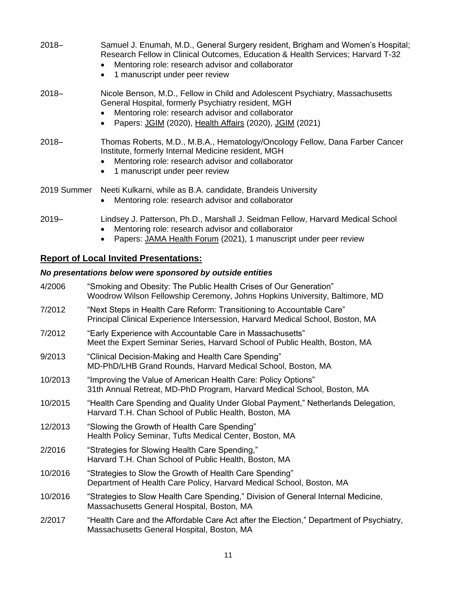| $2018 -$    | Samuel J. Enumah, M.D., General Surgery resident, Brigham and Women's Hospital;<br>Research Fellow in Clinical Outcomes, Education & Health Services; Harvard T-32<br>Mentoring role: research advisor and collaborator<br>$\bullet$<br>1 manuscript under peer review<br>$\bullet$ |
|-------------|-------------------------------------------------------------------------------------------------------------------------------------------------------------------------------------------------------------------------------------------------------------------------------------|
| $2018 -$    | Nicole Benson, M.D., Fellow in Child and Adolescent Psychiatry, Massachusetts<br>General Hospital, formerly Psychiatry resident, MGH<br>Mentoring role: research advisor and collaborator<br>$\bullet$<br>Papers: JGIM (2020), Health Affairs (2020), JGIM (2021)<br>$\bullet$      |
| $2018 -$    | Thomas Roberts, M.D., M.B.A., Hematology/Oncology Fellow, Dana Farber Cancer<br>Institute, formerly Internal Medicine resident, MGH<br>Mentoring role: research advisor and collaborator<br>1 manuscript under peer review<br>$\bullet$                                             |
| 2019 Summer | Neeti Kulkarni, while as B.A. candidate, Brandeis University<br>Mentoring role: research advisor and collaborator<br>$\bullet$                                                                                                                                                      |
| $2019 -$    | Lindsey J. Patterson, Ph.D., Marshall J. Seidman Fellow, Harvard Medical School<br>Mentoring role: research advisor and collaborator                                                                                                                                                |

• Papers: JAMA Health Forum (2021), 1 manuscript under peer review

# **Report of Local Invited Presentations:**

# *No presentations below were sponsored by outside entities*

| 4/2006  | "Smoking and Obesity: The Public Health Crises of Our Generation"<br>Woodrow Wilson Fellowship Ceremony, Johns Hopkins University, Baltimore, MD        |
|---------|---------------------------------------------------------------------------------------------------------------------------------------------------------|
| 7/2012  | "Next Steps in Health Care Reform: Transitioning to Accountable Care"<br>Principal Clinical Experience Intersession, Harvard Medical School, Boston, MA |
| 7/2012  | "Early Experience with Accountable Care in Massachusetts"<br>Meet the Expert Seminar Series, Harvard School of Public Health, Boston, MA                |
| 9/2013  | "Clinical Decision-Making and Health Care Spending"<br>MD-PhD/LHB Grand Rounds, Harvard Medical School, Boston, MA                                      |
| 10/2013 | "Improving the Value of American Health Care: Policy Options"<br>31th Annual Retreat, MD-PhD Program, Harvard Medical School, Boston, MA                |
| 10/2015 | "Health Care Spending and Quality Under Global Payment," Netherlands Delegation,<br>Harvard T.H. Chan School of Public Health, Boston, MA               |
| 12/2013 | "Slowing the Growth of Health Care Spending"<br>Health Policy Seminar, Tufts Medical Center, Boston, MA                                                 |
| 2/2016  | "Strategies for Slowing Health Care Spending,"<br>Harvard T.H. Chan School of Public Health, Boston, MA                                                 |
| 10/2016 | "Strategies to Slow the Growth of Health Care Spending"<br>Department of Health Care Policy, Harvard Medical School, Boston, MA                         |
| 10/2016 | "Strategies to Slow Health Care Spending," Division of General Internal Medicine,<br>Massachusetts General Hospital, Boston, MA                         |
| 2/2017  | "Health Care and the Affordable Care Act after the Election," Department of Psychiatry,<br>Massachusetts General Hospital, Boston, MA                   |
|         |                                                                                                                                                         |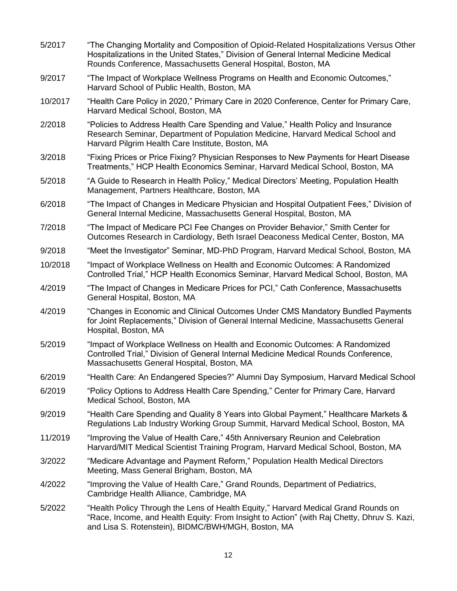| 5/2017  | "The Changing Mortality and Composition of Opioid-Related Hospitalizations Versus Other<br>Hospitalizations in the United States," Division of General Internal Medicine Medical<br>Rounds Conference, Massachusetts General Hospital, Boston, MA |
|---------|---------------------------------------------------------------------------------------------------------------------------------------------------------------------------------------------------------------------------------------------------|
| 9/2017  | "The Impact of Workplace Wellness Programs on Health and Economic Outcomes,"<br>Harvard School of Public Health, Boston, MA                                                                                                                       |
| 10/2017 | "Health Care Policy in 2020," Primary Care in 2020 Conference, Center for Primary Care,<br>Harvard Medical School, Boston, MA                                                                                                                     |
| 2/2018  | "Policies to Address Health Care Spending and Value," Health Policy and Insurance<br>Research Seminar, Department of Population Medicine, Harvard Medical School and<br>Harvard Pilgrim Health Care Institute, Boston, MA                         |
| 3/2018  | "Fixing Prices or Price Fixing? Physician Responses to New Payments for Heart Disease<br>Treatments," HCP Health Economics Seminar, Harvard Medical School, Boston, MA                                                                            |
| 5/2018  | "A Guide to Research in Health Policy," Medical Directors' Meeting, Population Health<br>Management, Partners Healthcare, Boston, MA                                                                                                              |
| 6/2018  | "The Impact of Changes in Medicare Physician and Hospital Outpatient Fees," Division of<br>General Internal Medicine, Massachusetts General Hospital, Boston, MA                                                                                  |
| 7/2018  | "The Impact of Medicare PCI Fee Changes on Provider Behavior," Smith Center for<br>Outcomes Research in Cardiology, Beth Israel Deaconess Medical Center, Boston, MA                                                                              |
| 9/2018  | "Meet the Investigator" Seminar, MD-PhD Program, Harvard Medical School, Boston, MA                                                                                                                                                               |
| 10/2018 | "Impact of Workplace Wellness on Health and Economic Outcomes: A Randomized<br>Controlled Trial," HCP Health Economics Seminar, Harvard Medical School, Boston, MA                                                                                |
| 4/2019  | "The Impact of Changes in Medicare Prices for PCI," Cath Conference, Massachusetts<br>General Hospital, Boston, MA                                                                                                                                |
| 4/2019  | "Changes in Economic and Clinical Outcomes Under CMS Mandatory Bundled Payments<br>for Joint Replacements," Division of General Internal Medicine, Massachusetts General<br>Hospital, Boston, MA                                                  |
| 5/2019  | "Impact of Workplace Wellness on Health and Economic Outcomes: A Randomized<br>Controlled Trial," Division of General Internal Medicine Medical Rounds Conference,<br>Massachusetts General Hospital, Boston, MA                                  |
| 6/2019  | "Health Care: An Endangered Species?" Alumni Day Symposium, Harvard Medical School                                                                                                                                                                |
| 6/2019  | "Policy Options to Address Health Care Spending," Center for Primary Care, Harvard<br>Medical School, Boston, MA                                                                                                                                  |
| 9/2019  | "Health Care Spending and Quality 8 Years into Global Payment," Healthcare Markets &<br>Regulations Lab Industry Working Group Summit, Harvard Medical School, Boston, MA                                                                         |
| 11/2019 | "Improving the Value of Health Care," 45th Anniversary Reunion and Celebration<br>Harvard/MIT Medical Scientist Training Program, Harvard Medical School, Boston, MA                                                                              |
| 3/2022  | "Medicare Advantage and Payment Reform," Population Health Medical Directors<br>Meeting, Mass General Brigham, Boston, MA                                                                                                                         |
| 4/2022  | "Improving the Value of Health Care," Grand Rounds, Department of Pediatrics,<br>Cambridge Health Alliance, Cambridge, MA                                                                                                                         |
| 5/2022  | "Health Policy Through the Lens of Health Equity," Harvard Medical Grand Rounds on<br>"Race, Income, and Health Equity: From Insight to Action" (with Raj Chetty, Dhruv S. Kazi,<br>and Lisa S. Rotenstein), BIDMC/BWH/MGH, Boston, MA            |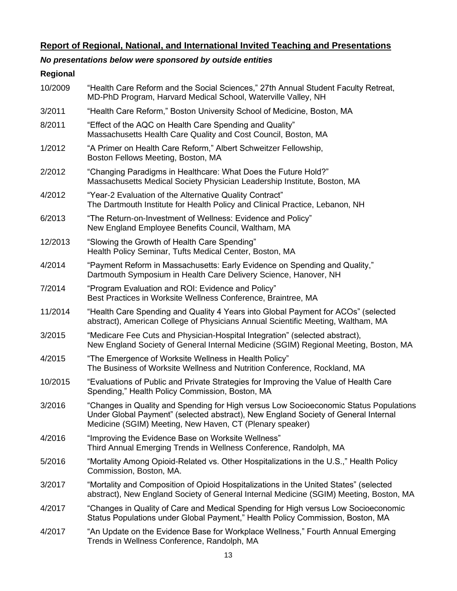# **Report of Regional, National, and International Invited Teaching and Presentations**

# *No presentations below were sponsored by outside entities*

## **Regional**

| 10/2009 | "Health Care Reform and the Social Sciences," 27th Annual Student Faculty Retreat,<br>MD-PhD Program, Harvard Medical School, Waterville Valley, NH                                                                                     |
|---------|-----------------------------------------------------------------------------------------------------------------------------------------------------------------------------------------------------------------------------------------|
| 3/2011  | "Health Care Reform," Boston University School of Medicine, Boston, MA                                                                                                                                                                  |
| 8/2011  | "Effect of the AQC on Health Care Spending and Quality"<br>Massachusetts Health Care Quality and Cost Council, Boston, MA                                                                                                               |
| 1/2012  | "A Primer on Health Care Reform," Albert Schweitzer Fellowship,<br>Boston Fellows Meeting, Boston, MA                                                                                                                                   |
| 2/2012  | "Changing Paradigms in Healthcare: What Does the Future Hold?"<br>Massachusetts Medical Society Physician Leadership Institute, Boston, MA                                                                                              |
| 4/2012  | "Year-2 Evaluation of the Alternative Quality Contract"<br>The Dartmouth Institute for Health Policy and Clinical Practice, Lebanon, NH                                                                                                 |
| 6/2013  | "The Return-on-Investment of Wellness: Evidence and Policy"<br>New England Employee Benefits Council, Waltham, MA                                                                                                                       |
| 12/2013 | "Slowing the Growth of Health Care Spending"<br>Health Policy Seminar, Tufts Medical Center, Boston, MA                                                                                                                                 |
| 4/2014  | "Payment Reform in Massachusetts: Early Evidence on Spending and Quality,"<br>Dartmouth Symposium in Health Care Delivery Science, Hanover, NH                                                                                          |
| 7/2014  | "Program Evaluation and ROI: Evidence and Policy"<br>Best Practices in Worksite Wellness Conference, Braintree, MA                                                                                                                      |
| 11/2014 | "Health Care Spending and Quality 4 Years into Global Payment for ACOs" (selected<br>abstract), American College of Physicians Annual Scientific Meeting, Waltham, MA                                                                   |
| 3/2015  | "Medicare Fee Cuts and Physician-Hospital Integration" (selected abstract),<br>New England Society of General Internal Medicine (SGIM) Regional Meeting, Boston, MA                                                                     |
| 4/2015  | "The Emergence of Worksite Wellness in Health Policy"<br>The Business of Worksite Wellness and Nutrition Conference, Rockland, MA                                                                                                       |
| 10/2015 | "Evaluations of Public and Private Strategies for Improving the Value of Health Care<br>Spending," Health Policy Commission, Boston, MA                                                                                                 |
| 3/2016  | "Changes in Quality and Spending for High versus Low Socioeconomic Status Populations<br>Under Global Payment" (selected abstract), New England Society of General Internal<br>Medicine (SGIM) Meeting, New Haven, CT (Plenary speaker) |
| 4/2016  | "Improving the Evidence Base on Worksite Wellness"<br>Third Annual Emerging Trends in Wellness Conference, Randolph, MA                                                                                                                 |
| 5/2016  | "Mortality Among Opioid-Related vs. Other Hospitalizations in the U.S.," Health Policy<br>Commission, Boston, MA.                                                                                                                       |
| 3/2017  | "Mortality and Composition of Opioid Hospitalizations in the United States" (selected<br>abstract), New England Society of General Internal Medicine (SGIM) Meeting, Boston, MA                                                         |
| 4/2017  | "Changes in Quality of Care and Medical Spending for High versus Low Socioeconomic<br>Status Populations under Global Payment," Health Policy Commission, Boston, MA                                                                    |
| 4/2017  | "An Update on the Evidence Base for Workplace Wellness," Fourth Annual Emerging<br>Trends in Wellness Conference, Randolph, MA                                                                                                          |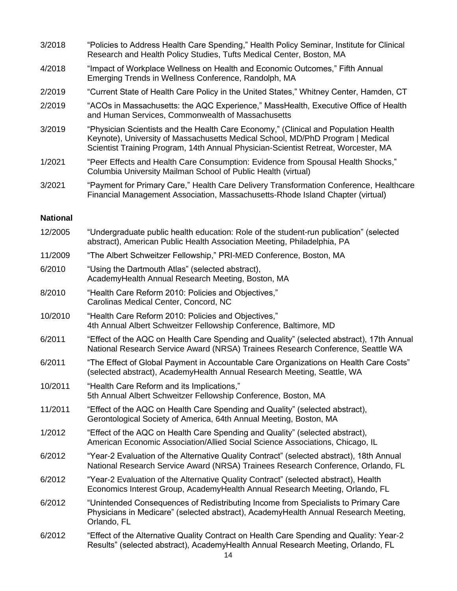| 3/2018 | "Policies to Address Health Care Spending," Health Policy Seminar, Institute for Clinical<br>Research and Health Policy Studies, Tufts Medical Center, Boston, MA                                                                                           |
|--------|-------------------------------------------------------------------------------------------------------------------------------------------------------------------------------------------------------------------------------------------------------------|
| 4/2018 | "Impact of Workplace Wellness on Health and Economic Outcomes," Fifth Annual<br>Emerging Trends in Wellness Conference, Randolph, MA                                                                                                                        |
| 2/2019 | "Current State of Health Care Policy in the United States," Whitney Center, Hamden, CT                                                                                                                                                                      |
| 2/2019 | "ACOs in Massachusetts: the AQC Experience," MassHealth, Executive Office of Health<br>and Human Services, Commonwealth of Massachusetts                                                                                                                    |
| 3/2019 | "Physician Scientists and the Health Care Economy," (Clinical and Population Health<br>Keynote), University of Massachusetts Medical School, MD/PhD Program   Medical<br>Scientist Training Program, 14th Annual Physician-Scientist Retreat, Worcester, MA |
| 1/2021 | "Peer Effects and Health Care Consumption: Evidence from Spousal Health Shocks,"<br>Columbia University Mailman School of Public Health (virtual)                                                                                                           |
| 3/2021 | "Payment for Primary Care," Health Care Delivery Transformation Conference, Healthcare<br>Financial Management Association, Massachusetts-Rhode Island Chapter (virtual)                                                                                    |
|        |                                                                                                                                                                                                                                                             |

### **National**

| 12/2005 | "Undergraduate public health education: Role of the student-run publication" (selected<br>abstract), American Public Health Association Meeting, Philadelphia, PA                        |
|---------|------------------------------------------------------------------------------------------------------------------------------------------------------------------------------------------|
| 11/2009 | "The Albert Schweitzer Fellowship," PRI-MED Conference, Boston, MA                                                                                                                       |
| 6/2010  | "Using the Dartmouth Atlas" (selected abstract),<br>AcademyHealth Annual Research Meeting, Boston, MA                                                                                    |
| 8/2010  | "Health Care Reform 2010: Policies and Objectives,"<br>Carolinas Medical Center, Concord, NC                                                                                             |
| 10/2010 | "Health Care Reform 2010: Policies and Objectives,"<br>4th Annual Albert Schweitzer Fellowship Conference, Baltimore, MD                                                                 |
| 6/2011  | "Effect of the AQC on Health Care Spending and Quality" (selected abstract), 17th Annual<br>National Research Service Award (NRSA) Trainees Research Conference, Seattle WA              |
| 6/2011  | "The Effect of Global Payment in Accountable Care Organizations on Health Care Costs"<br>(selected abstract), AcademyHealth Annual Research Meeting, Seattle, WA                         |
| 10/2011 | "Health Care Reform and its Implications,"<br>5th Annual Albert Schweitzer Fellowship Conference, Boston, MA                                                                             |
| 11/2011 | "Effect of the AQC on Health Care Spending and Quality" (selected abstract),<br>Gerontological Society of America, 64th Annual Meeting, Boston, MA                                       |
| 1/2012  | "Effect of the AQC on Health Care Spending and Quality" (selected abstract),<br>American Economic Association/Allied Social Science Associations, Chicago, IL                            |
| 6/2012  | "Year-2 Evaluation of the Alternative Quality Contract" (selected abstract), 18th Annual<br>National Research Service Award (NRSA) Trainees Research Conference, Orlando, FL             |
| 6/2012  | "Year-2 Evaluation of the Alternative Quality Contract" (selected abstract), Health<br>Economics Interest Group, AcademyHealth Annual Research Meeting, Orlando, FL                      |
| 6/2012  | "Unintended Consequences of Redistributing Income from Specialists to Primary Care<br>Physicians in Medicare" (selected abstract), AcademyHealth Annual Research Meeting,<br>Orlando, FL |
| 6/2012  | "Effect of the Alternative Quality Contract on Health Care Spending and Quality: Year-2<br>Results" (selected abstract), AcademyHealth Annual Research Meeting, Orlando, FL              |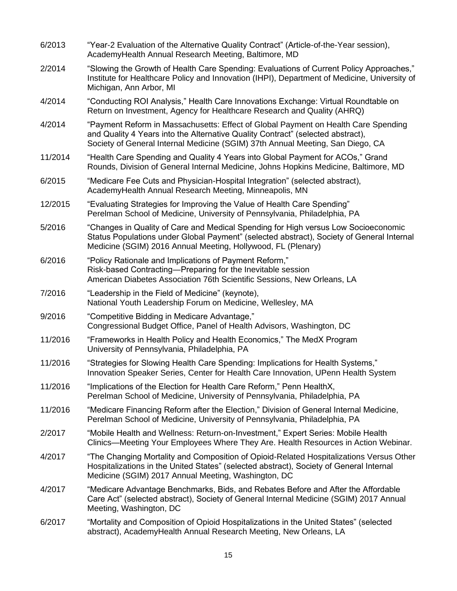| 6/2013  | "Year-2 Evaluation of the Alternative Quality Contract" (Article-of-the-Year session),<br>AcademyHealth Annual Research Meeting, Baltimore, MD                                                                                                          |
|---------|---------------------------------------------------------------------------------------------------------------------------------------------------------------------------------------------------------------------------------------------------------|
| 2/2014  | "Slowing the Growth of Health Care Spending: Evaluations of Current Policy Approaches,"<br>Institute for Healthcare Policy and Innovation (IHPI), Department of Medicine, University of<br>Michigan, Ann Arbor, MI                                      |
| 4/2014  | "Conducting ROI Analysis," Health Care Innovations Exchange: Virtual Roundtable on<br>Return on Investment, Agency for Healthcare Research and Quality (AHRQ)                                                                                           |
| 4/2014  | "Payment Reform in Massachusetts: Effect of Global Payment on Health Care Spending<br>and Quality 4 Years into the Alternative Quality Contract" (selected abstract),<br>Society of General Internal Medicine (SGIM) 37th Annual Meeting, San Diego, CA |
| 11/2014 | "Health Care Spending and Quality 4 Years into Global Payment for ACOs," Grand<br>Rounds, Division of General Internal Medicine, Johns Hopkins Medicine, Baltimore, MD                                                                                  |
| 6/2015  | "Medicare Fee Cuts and Physician-Hospital Integration" (selected abstract),<br>AcademyHealth Annual Research Meeting, Minneapolis, MN                                                                                                                   |
| 12/2015 | "Evaluating Strategies for Improving the Value of Health Care Spending"<br>Perelman School of Medicine, University of Pennsylvania, Philadelphia, PA                                                                                                    |
| 5/2016  | "Changes in Quality of Care and Medical Spending for High versus Low Socioeconomic<br>Status Populations under Global Payment" (selected abstract), Society of General Internal<br>Medicine (SGIM) 2016 Annual Meeting, Hollywood, FL (Plenary)         |
| 6/2016  | "Policy Rationale and Implications of Payment Reform,"<br>Risk-based Contracting-Preparing for the Inevitable session<br>American Diabetes Association 76th Scientific Sessions, New Orleans, LA                                                        |
| 7/2016  | "Leadership in the Field of Medicine" (keynote),<br>National Youth Leadership Forum on Medicine, Wellesley, MA                                                                                                                                          |
| 9/2016  | "Competitive Bidding in Medicare Advantage,"<br>Congressional Budget Office, Panel of Health Advisors, Washington, DC                                                                                                                                   |
| 11/2016 | "Frameworks in Health Policy and Health Economics," The MedX Program<br>University of Pennsylvania, Philadelphia, PA                                                                                                                                    |
| 11/2016 | "Strategies for Slowing Health Care Spending: Implications for Health Systems,"<br>Innovation Speaker Series, Center for Health Care Innovation, UPenn Health System                                                                                    |
| 11/2016 | "Implications of the Election for Health Care Reform," Penn HealthX,<br>Perelman School of Medicine, University of Pennsylvania, Philadelphia, PA                                                                                                       |
| 11/2016 | "Medicare Financing Reform after the Election," Division of General Internal Medicine,<br>Perelman School of Medicine, University of Pennsylvania, Philadelphia, PA                                                                                     |
| 2/2017  | "Mobile Health and Wellness: Return-on-Investment," Expert Series: Mobile Health<br>Clinics—Meeting Your Employees Where They Are. Health Resources in Action Webinar.                                                                                  |
| 4/2017  | "The Changing Mortality and Composition of Opioid-Related Hospitalizations Versus Other<br>Hospitalizations in the United States" (selected abstract), Society of General Internal<br>Medicine (SGIM) 2017 Annual Meeting, Washington, DC               |
| 4/2017  | "Medicare Advantage Benchmarks, Bids, and Rebates Before and After the Affordable<br>Care Act" (selected abstract), Society of General Internal Medicine (SGIM) 2017 Annual<br>Meeting, Washington, DC                                                  |
| 6/2017  | "Mortality and Composition of Opioid Hospitalizations in the United States" (selected<br>abstract), AcademyHealth Annual Research Meeting, New Orleans, LA                                                                                              |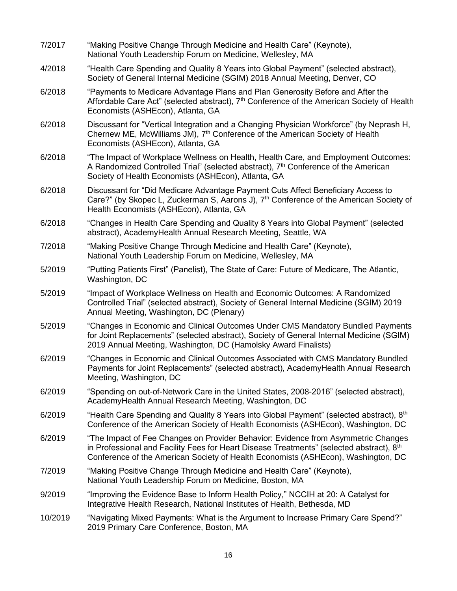| 7/2017  | "Making Positive Change Through Medicine and Health Care" (Keynote),<br>National Youth Leadership Forum on Medicine, Wellesley, MA                                                                                                                                             |
|---------|--------------------------------------------------------------------------------------------------------------------------------------------------------------------------------------------------------------------------------------------------------------------------------|
| 4/2018  | "Health Care Spending and Quality 8 Years into Global Payment" (selected abstract),<br>Society of General Internal Medicine (SGIM) 2018 Annual Meeting, Denver, CO                                                                                                             |
| 6/2018  | "Payments to Medicare Advantage Plans and Plan Generosity Before and After the<br>Affordable Care Act" (selected abstract), 7 <sup>th</sup> Conference of the American Society of Health<br>Economists (ASHEcon), Atlanta, GA                                                  |
| 6/2018  | Discussant for "Vertical Integration and a Changing Physician Workforce" (by Neprash H,<br>Chernew ME, McWilliams JM), 7 <sup>th</sup> Conference of the American Society of Health<br>Economists (ASHEcon), Atlanta, GA                                                       |
| 6/2018  | "The Impact of Workplace Wellness on Health, Health Care, and Employment Outcomes:<br>A Randomized Controlled Trial" (selected abstract), 7 <sup>th</sup> Conference of the American<br>Society of Health Economists (ASHEcon), Atlanta, GA                                    |
| 6/2018  | Discussant for "Did Medicare Advantage Payment Cuts Affect Beneficiary Access to<br>Care?" (by Skopec L, Zuckerman S, Aarons J), 7 <sup>th</sup> Conference of the American Society of<br>Health Economists (ASHEcon), Atlanta, GA                                             |
| 6/2018  | "Changes in Health Care Spending and Quality 8 Years into Global Payment" (selected<br>abstract), AcademyHealth Annual Research Meeting, Seattle, WA                                                                                                                           |
| 7/2018  | "Making Positive Change Through Medicine and Health Care" (Keynote),<br>National Youth Leadership Forum on Medicine, Wellesley, MA                                                                                                                                             |
| 5/2019  | "Putting Patients First" (Panelist), The State of Care: Future of Medicare, The Atlantic,<br>Washington, DC                                                                                                                                                                    |
| 5/2019  | "Impact of Workplace Wellness on Health and Economic Outcomes: A Randomized<br>Controlled Trial" (selected abstract), Society of General Internal Medicine (SGIM) 2019<br>Annual Meeting, Washington, DC (Plenary)                                                             |
| 5/2019  | "Changes in Economic and Clinical Outcomes Under CMS Mandatory Bundled Payments<br>for Joint Replacements" (selected abstract), Society of General Internal Medicine (SGIM)<br>2019 Annual Meeting, Washington, DC (Hamolsky Award Finalists)                                  |
| 6/2019  | "Changes in Economic and Clinical Outcomes Associated with CMS Mandatory Bundled<br>Payments for Joint Replacements" (selected abstract), AcademyHealth Annual Research<br>Meeting, Washington, DC                                                                             |
| 6/2019  | "Spending on out-of-Network Care in the United States, 2008-2016" (selected abstract),<br>AcademyHealth Annual Research Meeting, Washington, DC                                                                                                                                |
| 6/2019  | "Health Care Spending and Quality 8 Years into Global Payment" (selected abstract), 8th<br>Conference of the American Society of Health Economists (ASHEcon), Washington, DC                                                                                                   |
| 6/2019  | "The Impact of Fee Changes on Provider Behavior: Evidence from Asymmetric Changes<br>in Professional and Facility Fees for Heart Disease Treatments" (selected abstract), 8 <sup>th</sup><br>Conference of the American Society of Health Economists (ASHEcon), Washington, DC |
| 7/2019  | "Making Positive Change Through Medicine and Health Care" (Keynote),<br>National Youth Leadership Forum on Medicine, Boston, MA                                                                                                                                                |
| 9/2019  | "Improving the Evidence Base to Inform Health Policy," NCCIH at 20: A Catalyst for<br>Integrative Health Research, National Institutes of Health, Bethesda, MD                                                                                                                 |
| 10/2019 | "Navigating Mixed Payments: What is the Argument to Increase Primary Care Spend?"<br>2019 Primary Care Conference, Boston, MA                                                                                                                                                  |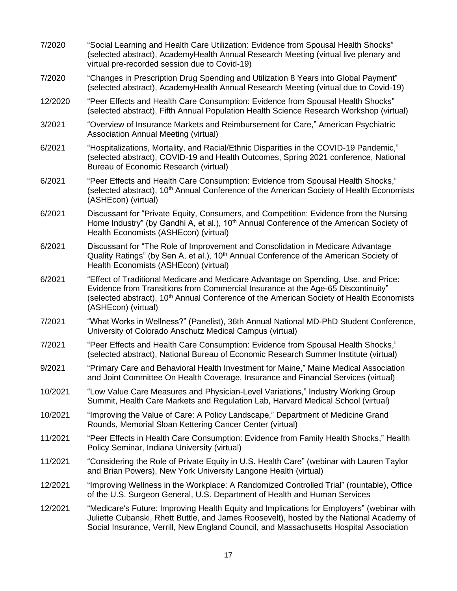| 7/2020  | "Social Learning and Health Care Utilization: Evidence from Spousal Health Shocks"<br>(selected abstract), AcademyHealth Annual Research Meeting (virtual live plenary and<br>virtual pre-recorded session due to Covid-19)                                                                            |
|---------|--------------------------------------------------------------------------------------------------------------------------------------------------------------------------------------------------------------------------------------------------------------------------------------------------------|
| 7/2020  | "Changes in Prescription Drug Spending and Utilization 8 Years into Global Payment"<br>(selected abstract), AcademyHealth Annual Research Meeting (virtual due to Covid-19)                                                                                                                            |
| 12/2020 | "Peer Effects and Health Care Consumption: Evidence from Spousal Health Shocks"<br>(selected abstract), Fifth Annual Population Health Science Research Workshop (virtual)                                                                                                                             |
| 3/2021  | "Overview of Insurance Markets and Reimbursement for Care," American Psychiatric<br>Association Annual Meeting (virtual)                                                                                                                                                                               |
| 6/2021  | "Hospitalizations, Mortality, and Racial/Ethnic Disparities in the COVID-19 Pandemic,"<br>(selected abstract), COVID-19 and Health Outcomes, Spring 2021 conference, National<br>Bureau of Economic Research (virtual)                                                                                 |
| 6/2021  | "Peer Effects and Health Care Consumption: Evidence from Spousal Health Shocks,"<br>(selected abstract), 10 <sup>th</sup> Annual Conference of the American Society of Health Economists<br>(ASHEcon) (virtual)                                                                                        |
| 6/2021  | Discussant for "Private Equity, Consumers, and Competition: Evidence from the Nursing<br>Home Industry" (by Gandhi A, et al.), 10 <sup>th</sup> Annual Conference of the American Society of<br>Health Economists (ASHEcon) (virtual)                                                                  |
| 6/2021  | Discussant for "The Role of Improvement and Consolidation in Medicare Advantage<br>Quality Ratings" (by Sen A, et al.), 10 <sup>th</sup> Annual Conference of the American Society of<br>Health Economists (ASHEcon) (virtual)                                                                         |
| 6/2021  | "Effect of Traditional Medicare and Medicare Advantage on Spending, Use, and Price:<br>Evidence from Transitions from Commercial Insurance at the Age-65 Discontinuity"<br>(selected abstract), 10 <sup>th</sup> Annual Conference of the American Society of Health Economists<br>(ASHEcon) (virtual) |
| 7/2021  | "What Works in Wellness?" (Panelist), 36th Annual National MD-PhD Student Conference,<br>University of Colorado Anschutz Medical Campus (virtual)                                                                                                                                                      |
| 7/2021  | "Peer Effects and Health Care Consumption: Evidence from Spousal Health Shocks,"<br>(selected abstract), National Bureau of Economic Research Summer Institute (virtual)                                                                                                                               |
| 9/2021  | "Primary Care and Behavioral Health Investment for Maine," Maine Medical Association<br>and Joint Committee On Health Coverage, Insurance and Financial Services (virtual)                                                                                                                             |
| 10/2021 | "Low Value Care Measures and Physician-Level Variations," Industry Working Group<br>Summit, Health Care Markets and Regulation Lab, Harvard Medical School (virtual)                                                                                                                                   |
| 10/2021 | "Improving the Value of Care: A Policy Landscape," Department of Medicine Grand<br>Rounds, Memorial Sloan Kettering Cancer Center (virtual)                                                                                                                                                            |
| 11/2021 | "Peer Effects in Health Care Consumption: Evidence from Family Health Shocks," Health<br>Policy Seminar, Indiana University (virtual)                                                                                                                                                                  |
| 11/2021 | "Considering the Role of Private Equity in U.S. Health Care" (webinar with Lauren Taylor<br>and Brian Powers), New York University Langone Health (virtual)                                                                                                                                            |
| 12/2021 | "Improving Wellness in the Workplace: A Randomized Controlled Trial" (rountable), Office<br>of the U.S. Surgeon General, U.S. Department of Health and Human Services                                                                                                                                  |
| 12/2021 | "Medicare's Future: Improving Health Equity and Implications for Employers" (webinar with<br>Juliette Cubanski, Rhett Buttle, and James Roosevelt), hosted by the National Academy of<br>Social Insurance, Verrill, New England Council, and Massachusetts Hospital Association                        |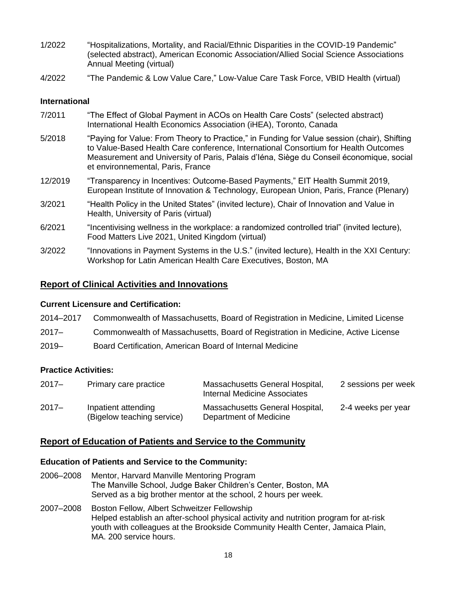- 1/2022 "Hospitalizations, Mortality, and Racial/Ethnic Disparities in the COVID-19 Pandemic" (selected abstract), American Economic Association/Allied Social Science Associations Annual Meeting (virtual)
- 4/2022 "The Pandemic & Low Value Care," Low-Value Care Task Force, VBID Health (virtual)

#### **International**

| 7/2011  | "The Effect of Global Payment in ACOs on Health Care Costs" (selected abstract)<br>International Health Economics Association (iHEA), Toronto, Canada                                                                                                                                                              |
|---------|--------------------------------------------------------------------------------------------------------------------------------------------------------------------------------------------------------------------------------------------------------------------------------------------------------------------|
| 5/2018  | "Paying for Value: From Theory to Practice," in Funding for Value session (chair), Shifting<br>to Value-Based Health Care conference, International Consortium for Health Outcomes<br>Measurement and University of Paris, Palais d'Iéna, Siège du Conseil économique, social<br>et environnemental, Paris, France |
| 12/2019 | "Transparency in Incentives: Outcome-Based Payments," EIT Health Summit 2019,<br>European Institute of Innovation & Technology, European Union, Paris, France (Plenary)                                                                                                                                            |
| 3/2021  | "Health Policy in the United States" (invited lecture), Chair of Innovation and Value in<br>Health, University of Paris (virtual)                                                                                                                                                                                  |
| 6/2021  | "Incentivising wellness in the workplace: a randomized controlled trial" (invited lecture),<br>Food Matters Live 2021, United Kingdom (virtual)                                                                                                                                                                    |
| 3/2022  | "Innovations in Payment Systems in the U.S." (invited lecture), Health in the XXI Century:<br>Workshop for Latin American Health Care Executives, Boston, MA                                                                                                                                                       |

### **Report of Clinical Activities and Innovations**

#### **Current Licensure and Certification:**

| 2014-2017 | Commonwealth of Massachusetts, Board of Registration in Medicine, Limited License |
|-----------|-----------------------------------------------------------------------------------|
| $2017 -$  | Commonwealth of Massachusetts, Board of Registration in Medicine, Active License  |
| $2019 -$  | Board Certification. American Board of Internal Medicine                          |

### **Practice Activities:**

| $2017 -$ | Primary care practice                             | Massachusetts General Hospital,<br>Internal Medicine Associates | 2 sessions per week |
|----------|---------------------------------------------------|-----------------------------------------------------------------|---------------------|
| $2017 -$ | Inpatient attending<br>(Bigelow teaching service) | Massachusetts General Hospital,<br>Department of Medicine       | 2-4 weeks per year  |

### **Report of Education of Patients and Service to the Community**

#### **Education of Patients and Service to the Community:**

- 2006–2008 Mentor, Harvard Manville Mentoring Program The Manville School, Judge Baker Children's Center, Boston, MA Served as a big brother mentor at the school, 2 hours per week.
- 2007–2008 Boston Fellow, Albert Schweitzer Fellowship Helped establish an after-school physical activity and nutrition program for at-risk youth with colleagues at the Brookside Community Health Center, Jamaica Plain, MA. 200 service hours.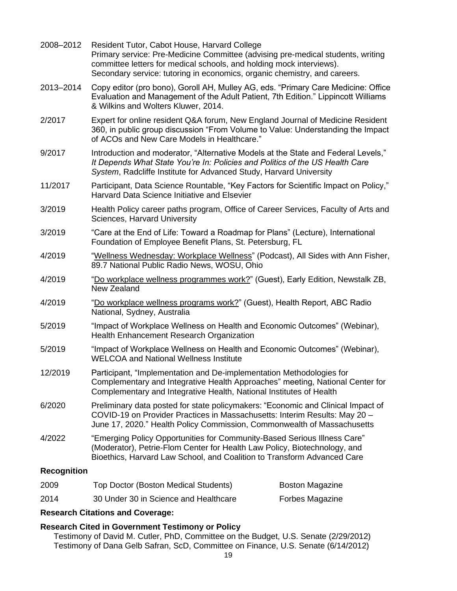| 2008-2012          | Resident Tutor, Cabot House, Harvard College<br>Primary service: Pre-Medicine Committee (advising pre-medical students, writing<br>committee letters for medical schools, and holding mock interviews).<br>Secondary service: tutoring in economics, organic chemistry, and careers. |                        |  |
|--------------------|--------------------------------------------------------------------------------------------------------------------------------------------------------------------------------------------------------------------------------------------------------------------------------------|------------------------|--|
| 2013-2014          | Copy editor (pro bono), Goroll AH, Mulley AG, eds. "Primary Care Medicine: Office<br>Evaluation and Management of the Adult Patient, 7th Edition." Lippincott Williams<br>& Wilkins and Wolters Kluwer, 2014.                                                                        |                        |  |
| 2/2017             | Expert for online resident Q&A forum, New England Journal of Medicine Resident<br>360, in public group discussion "From Volume to Value: Understanding the Impact<br>of ACOs and New Care Models in Healthcare."                                                                     |                        |  |
| 9/2017             | Introduction and moderator, "Alternative Models at the State and Federal Levels,"<br>It Depends What State You're In: Policies and Politics of the US Health Care<br>System, Radcliffe Institute for Advanced Study, Harvard University                                              |                        |  |
| 11/2017            | Participant, Data Science Rountable, "Key Factors for Scientific Impact on Policy,"<br>Harvard Data Science Initiative and Elsevier                                                                                                                                                  |                        |  |
| 3/2019             | Health Policy career paths program, Office of Career Services, Faculty of Arts and<br>Sciences, Harvard University                                                                                                                                                                   |                        |  |
| 3/2019             | "Care at the End of Life: Toward a Roadmap for Plans" (Lecture), International<br>Foundation of Employee Benefit Plans, St. Petersburg, FL                                                                                                                                           |                        |  |
| 4/2019             | "Wellness Wednesday: Workplace Wellness" (Podcast), All Sides with Ann Fisher,<br>89.7 National Public Radio News, WOSU, Ohio                                                                                                                                                        |                        |  |
| 4/2019             | "Do workplace wellness programmes work?" (Guest), Early Edition, Newstalk ZB,<br>New Zealand                                                                                                                                                                                         |                        |  |
| 4/2019             | "Do workplace wellness programs work?" (Guest), Health Report, ABC Radio<br>National, Sydney, Australia                                                                                                                                                                              |                        |  |
| 5/2019             | "Impact of Workplace Wellness on Health and Economic Outcomes" (Webinar),<br>Health Enhancement Research Organization                                                                                                                                                                |                        |  |
| 5/2019             | "Impact of Workplace Wellness on Health and Economic Outcomes" (Webinar),<br><b>WELCOA and National Wellness Institute</b>                                                                                                                                                           |                        |  |
| 12/2019            | Participant, "Implementation and De-implementation Methodologies for<br>Complementary and Integrative Health Approaches" meeting, National Center for<br>Complementary and Integrative Health, National Institutes of Health                                                         |                        |  |
| 6/2020             | Preliminary data posted for state policymakers: "Economic and Clinical Impact of<br>COVID-19 on Provider Practices in Massachusetts: Interim Results: May 20 -<br>June 17, 2020." Health Policy Commission, Commonwealth of Massachusetts                                            |                        |  |
| 4/2022             | "Emerging Policy Opportunities for Community-Based Serious Illness Care"<br>(Moderator), Petrie-Flom Center for Health Law Policy, Biotechnology, and<br>Bioethics, Harvard Law School, and Coalition to Transform Advanced Care                                                     |                        |  |
| <b>Recognition</b> |                                                                                                                                                                                                                                                                                      |                        |  |
| 2009               | Top Doctor (Boston Medical Students)                                                                                                                                                                                                                                                 | <b>Boston Magazine</b> |  |
| 2014               | 30 Under 30 in Science and Healthcare                                                                                                                                                                                                                                                | Forbes Magazine        |  |

### **Research Citations and Coverage:**

### **Research Cited in Government Testimony or Policy**

Testimony of David M. Cutler, PhD, Committee on the Budget, U.S. Senate (2/29/2012) Testimony of Dana Gelb Safran, ScD, Committee on Finance, U.S. Senate (6/14/2012)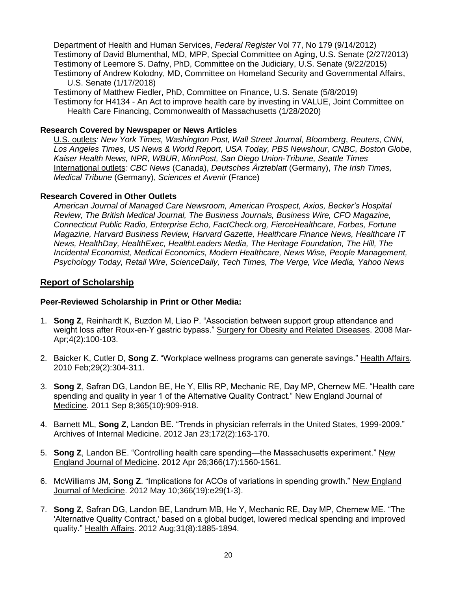Department of Health and Human Services, *Federal Register* Vol 77, No 179 (9/14/2012) Testimony of David Blumenthal, MD, MPP, Special Committee on Aging, U.S. Senate (2/27/2013) Testimony of Leemore S. Dafny, PhD, Committee on the Judiciary, U.S. Senate (9/22/2015) Testimony of Andrew Kolodny, MD, Committee on Homeland Security and Governmental Affairs, U.S. Senate (1/17/2018)

Testimony of Matthew Fiedler, PhD, Committee on Finance, U.S. Senate (5/8/2019) Testimony for H4134 - An Act to improve health care by investing in VALUE, Joint Committee on Health Care Financing, Commonwealth of Massachusetts (1/28/2020)

#### **Research Covered by Newspaper or News Articles**

U.S. outlets*: New York Times, Washington Post, Wall Street Journal, Bloomberg*, *Reuters*, *CNN, Los Angeles Times*, *US News & World Report, USA Today, PBS Newshour, CNBC, Boston Globe, Kaiser Health News, NPR, WBUR, MinnPost, San Diego Union-Tribune, Seattle Times* International outlets*: CBC News* (Canada), *Deutsches Ärzteblatt* (Germany), *The Irish Times, Medical Tribune* (Germany), *Sciences et Avenir* (France)

#### **Research Covered in Other Outlets**

*American Journal of Managed Care Newsroom, American Prospect, Axios, Becker's Hospital Review, The British Medical Journal, The Business Journals, Business Wire, CFO Magazine, Connecticut Public Radio, Enterprise Echo, FactCheck.org, FierceHealthcare, Forbes, Fortune Magazine, Harvard Business Review, Harvard Gazette, Healthcare Finance News, Healthcare IT News, HealthDay, HealthExec, HealthLeaders Media, The Heritage Foundation, The Hill, The Incidental Economist, Medical Economics, Modern Healthcare, News Wise, People Management, Psychology Today, Retail Wire, ScienceDaily, Tech Times, The Verge, Vice Media, Yahoo News*

#### **Report of Scholarship**

#### **Peer-Reviewed Scholarship in Print or Other Media:**

- 1. **Song Z**, Reinhardt K, Buzdon M, Liao P. "Association between support group attendance and weight loss after Roux-en-Y gastric bypass." Surgery for Obesity and Related Diseases. 2008 Mar-Apr;4(2):100-103.
- 2. Baicker K, Cutler D, **Song Z**. "Workplace wellness programs can generate savings." Health Affairs. 2010 Feb;29(2):304-311.
- 3. **Song Z**, Safran DG, Landon BE, He Y, Ellis RP, Mechanic RE, Day MP, Chernew ME. "Health care spending and quality in year 1 of the Alternative Quality Contract." New England Journal of Medicine. 2011 Sep 8;365(10):909-918.
- 4. Barnett ML, **Song Z**, Landon BE. "Trends in physician referrals in the United States, 1999-2009." Archives of Internal Medicine. 2012 Jan 23;172(2):163-170.
- 5. **Song Z**, Landon BE. "Controlling health care spending—the Massachusetts experiment." New England Journal of Medicine. 2012 Apr 26;366(17):1560-1561.
- 6. McWilliams JM, **Song Z**. "Implications for ACOs of variations in spending growth." New England Journal of Medicine. 2012 May 10;366(19):e29(1-3).
- 7. **Song Z**, Safran DG, Landon BE, Landrum MB, He Y, Mechanic RE, Day MP, Chernew ME. "The 'Alternative Quality Contract,' based on a global budget, lowered medical spending and improved quality." Health Affairs. 2012 Aug;31(8):1885-1894.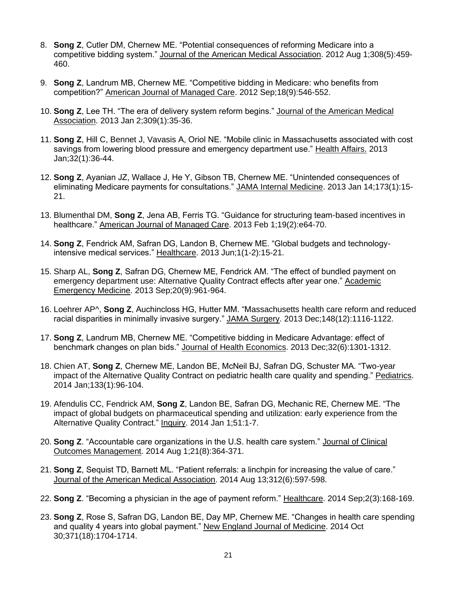- 8. **Song Z**, Cutler DM, Chernew ME. "Potential consequences of reforming Medicare into a competitive bidding system." Journal of the American Medical Association. 2012 Aug 1;308(5):459- 460.
- 9. **Song Z**, Landrum MB, Chernew ME. "Competitive bidding in Medicare: who benefits from competition?" American Journal of Managed Care. 2012 Sep;18(9):546-552.
- 10. **Song Z**, Lee TH. "The era of delivery system reform begins." Journal of the American Medical Association. 2013 Jan 2;309(1):35-36.
- 11. **Song Z**, Hill C, Bennet J, Vavasis A, Oriol NE. "Mobile clinic in Massachusetts associated with cost savings from lowering blood pressure and emergency department use." Health Affairs. 2013 Jan;32(1):36-44.
- 12. **Song Z**, Ayanian JZ, Wallace J, He Y, Gibson TB, Chernew ME. "Unintended consequences of eliminating Medicare payments for consultations." JAMA Internal Medicine. 2013 Jan 14;173(1):15- 21.
- 13. Blumenthal DM, **Song Z**, Jena AB, Ferris TG. "Guidance for structuring team-based incentives in healthcare." American Journal of Managed Care. 2013 Feb 1;19(2):e64-70.
- 14. **Song Z**, Fendrick AM, Safran DG, Landon B, Chernew ME. "Global budgets and technologyintensive medical services." Healthcare. 2013 Jun;1(1-2):15-21.
- 15. Sharp AL, **Song Z**, Safran DG, Chernew ME, Fendrick AM. "The effect of bundled payment on emergency department use: Alternative Quality Contract effects after year one." Academic Emergency Medicine. 2013 Sep;20(9):961-964.
- 16. Loehrer AP^, **Song Z**, Auchincloss HG, Hutter MM. "Massachusetts health care reform and reduced racial disparities in minimally invasive surgery." JAMA Surgery. 2013 Dec;148(12):1116-1122.
- 17. **Song Z**, Landrum MB, Chernew ME. "Competitive bidding in Medicare Advantage: effect of benchmark changes on plan bids." Journal of Health Economics. 2013 Dec;32(6):1301-1312.
- 18. Chien AT, **Song Z**, Chernew ME, Landon BE, McNeil BJ, Safran DG, Schuster MA. "Two-year impact of the Alternative Quality Contract on pediatric health care quality and spending." Pediatrics. 2014 Jan;133(1):96-104.
- 19. Afendulis CC, Fendrick AM, **Song Z**, Landon BE, Safran DG, Mechanic RE, Chernew ME. "The impact of global budgets on pharmaceutical spending and utilization: early experience from the Alternative Quality Contract." Inquiry. 2014 Jan 1;51:1-7.
- 20. **Song Z**. "Accountable care organizations in the U.S. health care system." Journal of Clinical Outcomes Management. 2014 Aug 1;21(8):364-371.
- 21. **Song Z**, Sequist TD, Barnett ML. "Patient referrals: a linchpin for increasing the value of care." Journal of the American Medical Association. 2014 Aug 13;312(6):597-598.
- 22. **Song Z**. "Becoming a physician in the age of payment reform." Healthcare. 2014 Sep;2(3):168-169.
- 23. **Song Z**, Rose S, Safran DG, Landon BE, Day MP, Chernew ME. "Changes in health care spending and quality 4 years into global payment." New England Journal of Medicine. 2014 Oct 30;371(18):1704-1714.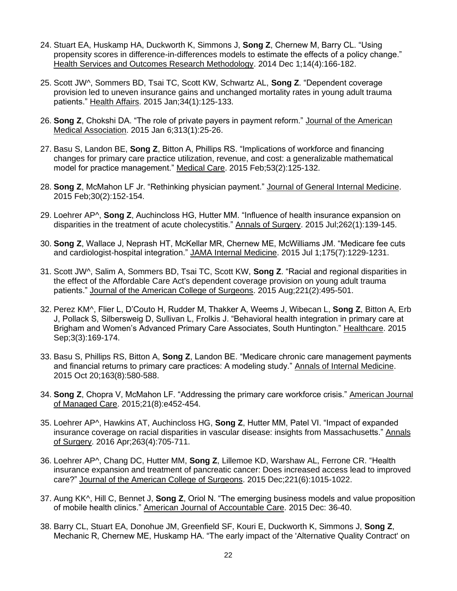- 24. Stuart EA, Huskamp HA, Duckworth K, Simmons J, **Song Z**, Chernew M, Barry CL. "Using propensity scores in difference-in-differences models to estimate the effects of a policy change." Health Services and Outcomes Research Methodology. 2014 Dec 1;14(4):166-182.
- 25. Scott JW^, Sommers BD, Tsai TC, Scott KW, Schwartz AL, **Song Z**. "Dependent coverage provision led to uneven insurance gains and unchanged mortality rates in young adult trauma patients." Health Affairs. 2015 Jan;34(1):125-133.
- 26. **Song Z**, Chokshi DA. "The role of private payers in payment reform." Journal of the American Medical Association. 2015 Jan 6;313(1):25-26.
- 27. Basu S, Landon BE, **Song Z**, Bitton A, Phillips RS. "Implications of workforce and financing changes for primary care practice utilization, revenue, and cost: a generalizable mathematical model for practice management." Medical Care. 2015 Feb;53(2):125-132.
- 28. **Song Z**, McMahon LF Jr. "Rethinking physician payment." Journal of General Internal Medicine. 2015 Feb;30(2):152-154.
- 29. Loehrer AP^, **Song Z**, Auchincloss HG, Hutter MM. "Influence of health insurance expansion on disparities in the treatment of acute cholecystitis." Annals of Surgery. 2015 Jul;262(1):139-145.
- 30. **Song Z**, Wallace J, Neprash HT, McKellar MR, Chernew ME, McWilliams JM. "Medicare fee cuts and cardiologist-hospital integration." JAMA Internal Medicine. 2015 Jul 1;175(7):1229-1231.
- 31. Scott JW^, Salim A, Sommers BD, Tsai TC, Scott KW, **Song Z**. "Racial and regional disparities in the effect of the Affordable Care Act's dependent coverage provision on young adult trauma patients." Journal of the American College of Surgeons. 2015 Aug;221(2):495-501.
- 32. Perez KM^, Flier L, D'Couto H, Rudder M, Thakker A, Weems J, Wibecan L, **Song Z**, Bitton A, Erb J, Pollack S, Silbersweig D, Sullivan L, Frolkis J. "Behavioral health integration in primary care at Brigham and Women's Advanced Primary Care Associates, South Huntington." Healthcare. 2015 Sep;3(3):169-174.
- 33. Basu S, Phillips RS, Bitton A, **Song Z**, Landon BE. "Medicare chronic care management payments and financial returns to primary care practices: A modeling study." Annals of Internal Medicine. 2015 Oct 20;163(8):580-588.
- 34. **Song Z**, Chopra V, McMahon LF. "Addressing the primary care workforce crisis." American Journal of Managed Care. 2015;21(8):e452-454.
- 35. Loehrer AP^, Hawkins AT, Auchincloss HG, **Song Z**, Hutter MM, Patel VI. "Impact of expanded insurance coverage on racial disparities in vascular disease: insights from Massachusetts." Annals of Surgery. 2016 Apr;263(4):705-711.
- 36. Loehrer AP^, Chang DC, Hutter MM, **Song Z**, Lillemoe KD, Warshaw AL, Ferrone CR. "Health insurance expansion and treatment of pancreatic cancer: Does increased access lead to improved care?" Journal of the American College of Surgeons. 2015 Dec;221(6):1015-1022.
- 37. Aung KK^, Hill C, Bennet J, **Song Z**, Oriol N. "The emerging business models and value proposition of mobile health clinics." American Journal of Accountable Care. 2015 Dec: 36-40.
- 38. Barry CL, Stuart EA, Donohue JM, Greenfield SF, Kouri E, Duckworth K, Simmons J, **Song Z**, Mechanic R, Chernew ME, Huskamp HA. "The early impact of the 'Alternative Quality Contract' on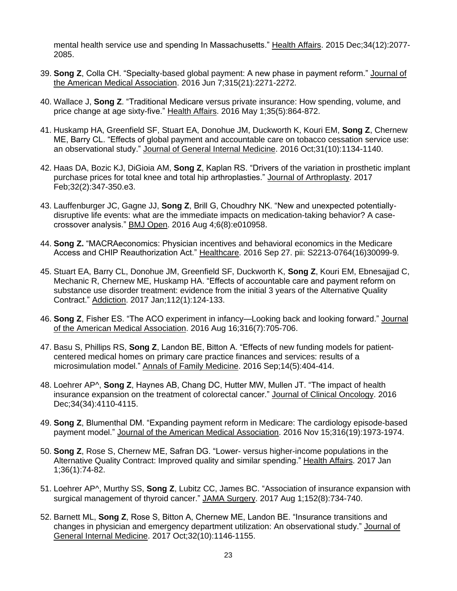mental health service use and spending In Massachusetts." Health Affairs. 2015 Dec;34(12):2077- 2085.

- 39. **Song Z**, Colla CH. "Specialty-based global payment: A new phase in payment reform." Journal of the American Medical Association. 2016 Jun 7;315(21):2271-2272.
- 40. Wallace J, **Song Z**. "Traditional Medicare versus private insurance: How spending, volume, and price change at age sixty-five." Health Affairs. 2016 May 1;35(5):864-872.
- 41. Huskamp HA, Greenfield SF, Stuart EA, Donohue JM, Duckworth K, Kouri EM, **Song Z**, Chernew ME, Barry CL. "Effects of global payment and accountable care on tobacco cessation service use: an observational study." Journal of General Internal Medicine. 2016 Oct;31(10):1134-1140.
- 42. Haas DA, Bozic KJ, DiGioia AM, **Song Z**, Kaplan RS. "Drivers of the variation in prosthetic implant purchase prices for total knee and total hip arthroplasties." Journal of Arthroplasty. 2017 Feb;32(2):347-350.e3.
- 43. Lauffenburger JC, Gagne JJ, **Song Z**, Brill G, Choudhry NK. "New and unexpected potentiallydisruptive life events: what are the immediate impacts on medication-taking behavior? A casecrossover analysis." BMJ Open. 2016 Aug 4;6(8):e010958.
- 44. **Song Z.** "MACRAeconomics: Physician incentives and behavioral economics in the Medicare Access and CHIP Reauthorization Act." Healthcare. 2016 Sep 27. pii: S2213-0764(16)30099-9.
- 45. Stuart EA, Barry CL, Donohue JM, Greenfield SF, Duckworth K, **Song Z**, Kouri EM, Ebnesajjad C, Mechanic R, Chernew ME, Huskamp HA. "Effects of accountable care and payment reform on substance use disorder treatment: evidence from the initial 3 years of the Alternative Quality Contract." Addiction. 2017 Jan;112(1):124-133.
- 46. **Song Z**, Fisher ES. "The ACO experiment in infancy—Looking back and looking forward." Journal of the American Medical Association. 2016 Aug 16;316(7):705-706.
- 47. Basu S, Phillips RS, **Song Z**, Landon BE, Bitton A. "Effects of new funding models for patientcentered medical homes on primary care practice finances and services: results of a microsimulation model." Annals of Family Medicine. 2016 Sep;14(5):404-414.
- 48. Loehrer AP^, **Song Z**, Haynes AB, Chang DC, Hutter MW, Mullen JT. "The impact of health insurance expansion on the treatment of colorectal cancer." Journal of Clinical Oncology. 2016 Dec;34(34):4110-4115.
- 49. **Song Z**, Blumenthal DM. "Expanding payment reform in Medicare: The cardiology episode-based payment model." Journal of the American Medical Association. 2016 Nov 15;316(19):1973-1974.
- 50. **Song Z**, Rose S, Chernew ME, Safran DG. "Lower- versus higher-income populations in the Alternative Quality Contract: Improved quality and similar spending." Health Affairs. 2017 Jan 1;36(1):74-82.
- 51. Loehrer AP^, Murthy SS, **Song Z**, Lubitz CC, James BC. "Association of insurance expansion with surgical management of thyroid cancer." JAMA Surgery. 2017 Aug 1;152(8):734-740.
- 52. Barnett ML, **Song Z**, Rose S, Bitton A, Chernew ME, Landon BE. "Insurance transitions and changes in physician and emergency department utilization: An observational study." Journal of General Internal Medicine. 2017 Oct;32(10):1146-1155.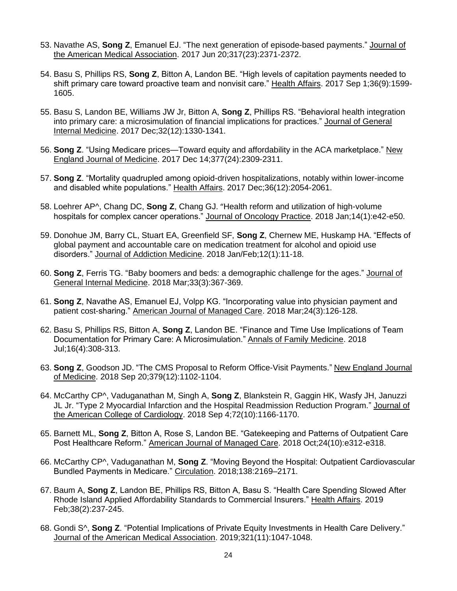- 53. Navathe AS, **Song Z**, Emanuel EJ. "The next generation of episode-based payments." Journal of the American Medical Association. 2017 Jun 20;317(23):2371-2372.
- 54. Basu S, Phillips RS, **Song Z**, Bitton A, Landon BE. "High levels of capitation payments needed to shift primary care toward proactive team and nonvisit care." Health Affairs. 2017 Sep 1;36(9):1599- 1605.
- 55. Basu S, Landon BE, Williams JW Jr, Bitton A, **Song Z**, Phillips RS. "Behavioral health integration into primary care: a microsimulation of financial implications for practices." Journal of General Internal Medicine. 2017 Dec;32(12):1330-1341.
- 56. **Song Z**. "Using Medicare prices—Toward equity and affordability in the ACA marketplace." New England Journal of Medicine. 2017 Dec 14;377(24):2309-2311.
- 57. **Song Z**. "Mortality quadrupled among opioid-driven hospitalizations, notably within lower-income and disabled white populations." Health Affairs. 2017 Dec;36(12):2054-2061.
- 58. Loehrer AP^, Chang DC, **Song Z**, Chang GJ. "Health reform and utilization of high-volume hospitals for complex cancer operations." Journal of Oncology Practice. 2018 Jan;14(1):e42-e50.
- 59. Donohue JM, Barry CL, Stuart EA, Greenfield SF, **Song Z**, Chernew ME, Huskamp HA. "Effects of global payment and accountable care on medication treatment for alcohol and opioid use disorders." Journal of Addiction Medicine. 2018 Jan/Feb;12(1):11-18.
- 60. **Song Z**, Ferris TG. "Baby boomers and beds: a demographic challenge for the ages." Journal of General Internal Medicine. 2018 Mar;33(3):367-369.
- 61. **Song Z**, Navathe AS, Emanuel EJ, Volpp KG. "Incorporating value into physician payment and patient cost-sharing." American Journal of Managed Care. 2018 Mar;24(3):126-128.
- 62. Basu S, Phillips RS, Bitton A, **Song Z**, Landon BE. "Finance and Time Use Implications of Team Documentation for Primary Care: A Microsimulation." Annals of Family Medicine. 2018 Jul;16(4):308-313.
- 63. **Song Z**, Goodson JD. "The CMS Proposal to Reform Office-Visit Payments." New England Journal of Medicine. 2018 Sep 20;379(12):1102-1104.
- 64. McCarthy CP^, Vaduganathan M, Singh A, **Song Z**, Blankstein R, Gaggin HK, Wasfy JH, Januzzi JL Jr. "Type 2 Myocardial Infarction and the Hospital Readmission Reduction Program." Journal of the American College of Cardiology. 2018 Sep 4;72(10):1166-1170.
- 65. Barnett ML, **Song Z**, Bitton A, Rose S, Landon BE. "Gatekeeping and Patterns of Outpatient Care Post Healthcare Reform." American Journal of Managed Care. 2018 Oct;24(10):e312-e318.
- 66. McCarthy CP^, Vaduganathan M, **Song Z**. "Moving Beyond the Hospital: Outpatient Cardiovascular Bundled Payments in Medicare." Circulation. 2018;138:2169–2171.
- 67. Baum A, **Song Z**, Landon BE, Phillips RS, Bitton A, Basu S. "Health Care Spending Slowed After Rhode Island Applied Affordability Standards to Commercial Insurers." Health Affairs. 2019 Feb;38(2):237-245.
- 68. Gondi S^, **Song Z**. "Potential Implications of Private Equity Investments in Health Care Delivery." Journal of the American Medical Association. 2019;321(11):1047-1048.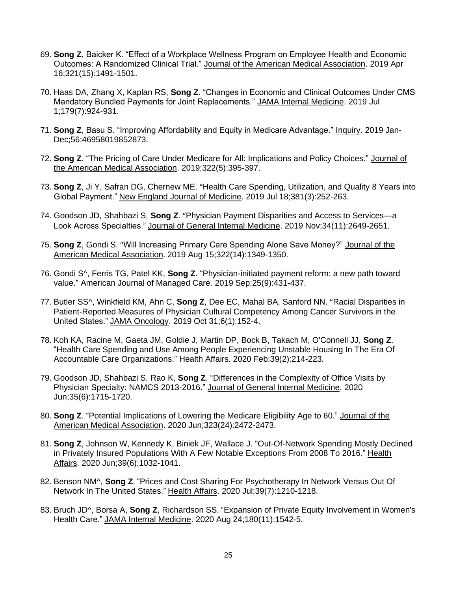- 69. **Song Z**, Baicker K. "Effect of a Workplace Wellness Program on Employee Health and Economic Outcomes: A Randomized Clinical Trial." Journal of the American Medical Association. 2019 Apr 16;321(15):1491-1501.
- 70. Haas DA, Zhang X, Kaplan RS, **Song Z**. "Changes in Economic and Clinical Outcomes Under CMS Mandatory Bundled Payments for Joint Replacements." JAMA Internal Medicine. 2019 Jul 1;179(7):924-931.
- 71. **Song Z**, Basu S. "Improving Affordability and Equity in Medicare Advantage." Inquiry. 2019 Jan-Dec;56:46958019852873.
- 72. **Song Z**. "The Pricing of Care Under Medicare for All: Implications and Policy Choices." Journal of the American Medical Association. 2019;322(5):395-397.
- 73. **Song Z**, Ji Y, Safran DG, Chernew ME. "Health Care Spending, Utilization, and Quality 8 Years into Global Payment." New England Journal of Medicine. 2019 Jul 18;381(3):252-263.
- 74. Goodson JD, Shahbazi S, **Song Z**. "Physician Payment Disparities and Access to Services—a Look Across Specialties." Journal of General Internal Medicine. 2019 Nov;34(11):2649-2651.
- 75. **Song Z**, Gondi S. "Will Increasing Primary Care Spending Alone Save Money?" Journal of the American Medical Association. 2019 Aug 15;322(14):1349-1350.
- 76. Gondi S^, Ferris TG, Patel KK, **Song Z**. "Physician-initiated payment reform: a new path toward value." American Journal of Managed Care. 2019 Sep;25(9):431-437.
- 77. Butler SS^, Winkfield KM, Ahn C, **Song Z**, Dee EC, Mahal BA, Sanford NN. "Racial Disparities in Patient-Reported Measures of Physician Cultural Competency Among Cancer Survivors in the United States." JAMA Oncology. 2019 Oct 31;6(1):152-4.
- 78. Koh KA, Racine M, Gaeta JM, Goldie J, Martin DP, Bock B, Takach M, O'Connell JJ, **Song Z**. "Health Care Spending and Use Among People Experiencing Unstable Housing In The Era Of Accountable Care Organizations." Health Affairs. 2020 Feb;39(2):214-223.
- 79. Goodson JD, Shahbazi S, Rao K, **Song Z**. "Differences in the Complexity of Office Visits by Physician Specialty: NAMCS 2013-2016." Journal of General Internal Medicine. 2020 Jun;35(6):1715-1720.
- 80. **Song Z**. "Potential Implications of Lowering the Medicare Eligibility Age to 60." Journal of the American Medical Association. 2020 Jun;323(24):2472-2473.
- 81. **Song Z**, Johnson W, Kennedy K, Biniek JF, Wallace J. "Out-Of-Network Spending Mostly Declined in Privately Insured Populations With A Few Notable Exceptions From 2008 To 2016." Health Affairs. 2020 Jun;39(6):1032-1041.
- 82. Benson NM^, **Song Z**. "Prices and Cost Sharing For Psychotherapy In Network Versus Out Of Network In The United States." Health Affairs. 2020 Jul;39(7):1210-1218.
- 83. Bruch JD^, Borsa A, **Song Z**, Richardson SS. "Expansion of Private Equity Involvement in Women's Health Care." JAMA Internal Medicine. 2020 Aug 24;180(11):1542-5.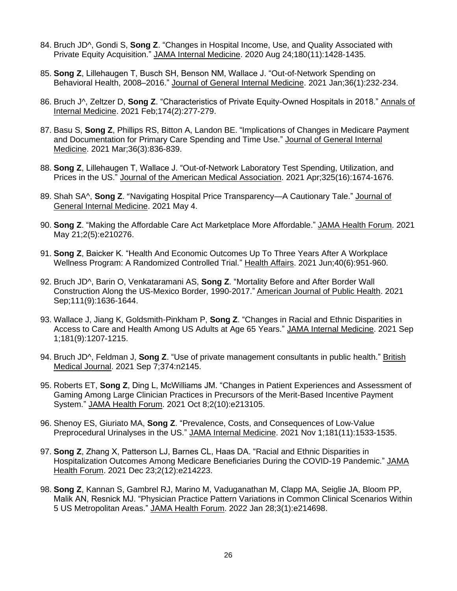- 84. Bruch JD^, Gondi S, **Song Z**. "Changes in Hospital Income, Use, and Quality Associated with Private Equity Acquisition." JAMA Internal Medicine. 2020 Aug 24;180(11):1428-1435.
- 85. **Song Z**, Lillehaugen T, Busch SH, Benson NM, Wallace J. "Out-of-Network Spending on Behavioral Health, 2008–2016." Journal of General Internal Medicine. 2021 Jan;36(1):232-234.
- 86. Bruch J^, Zeltzer D, **Song Z**. "Characteristics of Private Equity-Owned Hospitals in 2018." Annals of Internal Medicine. 2021 Feb;174(2):277-279.
- 87. Basu S, **Song Z**, Phillips RS, Bitton A, Landon BE. "Implications of Changes in Medicare Payment and Documentation for Primary Care Spending and Time Use." Journal of General Internal Medicine. 2021 Mar;36(3):836-839.
- 88. **Song Z**, Lillehaugen T, Wallace J. "Out-of-Network Laboratory Test Spending, Utilization, and Prices in the US." Journal of the American Medical Association. 2021 Apr;325(16):1674-1676.
- 89. Shah SA^, **Song Z**. "Navigating Hospital Price Transparency—A Cautionary Tale." Journal of General Internal Medicine. 2021 May 4.
- 90. **Song Z**. "Making the Affordable Care Act Marketplace More Affordable." JAMA Health Forum. 2021 May 21;2(5):e210276.
- 91. **Song Z**, Baicker K. "Health And Economic Outcomes Up To Three Years After A Workplace Wellness Program: A Randomized Controlled Trial." Health Affairs. 2021 Jun;40(6):951-960.
- 92. Bruch JD^, Barin O, Venkataramani AS, **Song Z**. "Mortality Before and After Border Wall Construction Along the US-Mexico Border, 1990-2017." American Journal of Public Health. 2021 Sep;111(9):1636-1644.
- 93. Wallace J, Jiang K, Goldsmith-Pinkham P, **Song Z**. "Changes in Racial and Ethnic Disparities in Access to Care and Health Among US Adults at Age 65 Years." JAMA Internal Medicine. 2021 Sep 1;181(9):1207-1215.
- 94. Bruch JD^, Feldman J, **Song Z**. "Use of private management consultants in public health." British Medical Journal. 2021 Sep 7;374:n2145.
- 95. Roberts ET, **Song Z**, Ding L, McWilliams JM. "Changes in Patient Experiences and Assessment of Gaming Among Large Clinician Practices in Precursors of the Merit-Based Incentive Payment System." JAMA Health Forum. 2021 Oct 8;2(10):e213105.
- 96. Shenoy ES, Giuriato MA, **Song Z**. "Prevalence, Costs, and Consequences of Low-Value Preprocedural Urinalyses in the US." JAMA Internal Medicine. 2021 Nov 1;181(11):1533-1535.
- 97. **Song Z**, Zhang X, Patterson LJ, Barnes CL, Haas DA. "Racial and Ethnic Disparities in Hospitalization Outcomes Among Medicare Beneficiaries During the COVID-19 Pandemic." JAMA Health Forum. 2021 Dec 23;2(12):e214223.
- 98. **Song Z**, Kannan S, Gambrel RJ, Marino M, Vaduganathan M, Clapp MA, Seiglie JA, Bloom PP, Malik AN, Resnick MJ. "Physician Practice Pattern Variations in Common Clinical Scenarios Within 5 US Metropolitan Areas." JAMA Health Forum. 2022 Jan 28;3(1):e214698.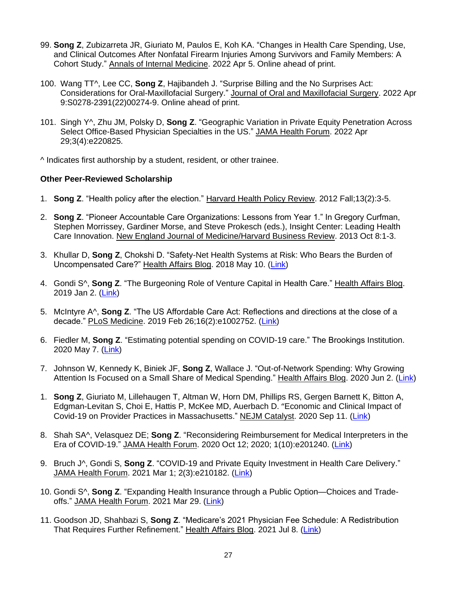- 99. **Song Z**, Zubizarreta JR, Giuriato M, Paulos E, Koh KA. "Changes in Health Care Spending, Use, and Clinical Outcomes After Nonfatal Firearm Injuries Among Survivors and Family Members: A Cohort Study." Annals of Internal Medicine. 2022 Apr 5. Online ahead of print.
- 100. Wang TT^, Lee CC, **Song Z**, Hajibandeh J. "Surprise Billing and the No Surprises Act: Considerations for Oral-Maxillofacial Surgery." Journal of Oral and Maxillofacial Surgery. 2022 Apr 9:S0278-2391(22)00274-9. Online ahead of print.
- 101. Singh Y^, Zhu JM, Polsky D, **Song Z**. "Geographic Variation in Private Equity Penetration Across Select Office-Based Physician Specialties in the US." JAMA Health Forum. 2022 Apr 29;3(4):e220825.

^ Indicates first authorship by a student, resident, or other trainee.

### **Other Peer-Reviewed Scholarship**

- 1. **Song Z**. "Health policy after the election." Harvard Health Policy Review. 2012 Fall;13(2):3-5.
- 2. **Song Z**. "Pioneer Accountable Care Organizations: Lessons from Year 1." In Gregory Curfman, Stephen Morrissey, Gardiner Morse, and Steve Prokesch (eds.), Insight Center: Leading Health Care Innovation. New England Journal of Medicine/Harvard Business Review. 2013 Oct 8:1-3.
- 3. Khullar D, **Song Z**, Chokshi D. "Safety-Net Health Systems at Risk: Who Bears the Burden of Uncompensated Care?" Health Affairs Blog. 2018 May 10. (Link)
- 4. Gondi S^, **Song Z**. "The Burgeoning Role of Venture Capital in Health Care." Health Affairs Blog. 2019 Jan 2. (Link)
- 5. McIntyre A^, **Song Z**. "The US Affordable Care Act: Reflections and directions at the close of a decade." PLoS Medicine. 2019 Feb 26;16(2):e1002752. (Link)
- 6. Fiedler M, **Song Z**. "Estimating potential spending on COVID-19 care." The Brookings Institution. 2020 May 7. (Link)
- 7. Johnson W, Kennedy K, Biniek JF, **Song Z**, Wallace J. "Out-of-Network Spending: Why Growing Attention Is Focused on a Small Share of Medical Spending." Health Affairs Blog. 2020 Jun 2. (Link)
- 1. **Song Z**, Giuriato M, Lillehaugen T, Altman W, Horn DM, Phillips RS, Gergen Barnett K, Bitton A, Edgman-Levitan S, Choi E, Hattis P, McKee MD, Auerbach D. "Economic and Clinical Impact of Covid-19 on Provider Practices in Massachusetts." NEJM Catalyst. 2020 Sep 11. (Link)
- 8. Shah SA^, Velasquez DE; **Song Z**. "Reconsidering Reimbursement for Medical Interpreters in the Era of COVID-19." JAMA Health Forum. 2020 Oct 12; 2020; 1(10):e201240. (Link)
- 9. Bruch J^, Gondi S, **Song Z**. "COVID-19 and Private Equity Investment in Health Care Delivery." JAMA Health Forum. 2021 Mar 1; 2(3):e210182. (Link)
- 10. Gondi S^, **Song Z**. "Expanding Health Insurance through a Public Option—Choices and Tradeoffs." JAMA Health Forum. 2021 Mar 29. (Link)
- 11. Goodson JD, Shahbazi S, **Song Z**. "Medicare's 2021 Physician Fee Schedule: A Redistribution That Requires Further Refinement." Health Affairs Blog. 2021 Jul 8. (Link)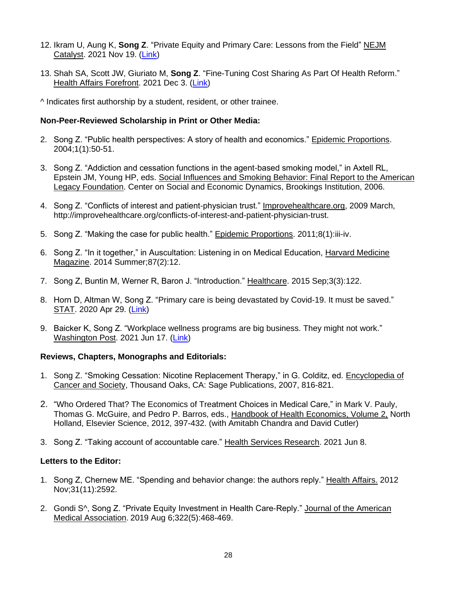- 12. Ikram U, Aung K, **Song Z**. "Private Equity and Primary Care: Lessons from the Field" NEJM Catalyst. 2021 Nov 19. (Link)
- 13. Shah SA, Scott JW, Giuriato M, **Song Z**. "Fine-Tuning Cost Sharing As Part Of Health Reform." Health Affairs Forefront. 2021 Dec 3. (Link)

^ Indicates first authorship by a student, resident, or other trainee.

### **Non-Peer-Reviewed Scholarship in Print or Other Media:**

- 2. Song Z. "Public health perspectives: A story of health and economics." Epidemic Proportions. 2004;1(1):50-51.
- 3. Song Z. "Addiction and cessation functions in the agent-based smoking model," in Axtell RL, Epstein JM, Young HP, eds. Social Influences and Smoking Behavior: Final Report to the American Legacy Foundation. Center on Social and Economic Dynamics, Brookings Institution, 2006.
- 4. Song Z. "Conflicts of interest and patient-physician trust." Improvehealthcare.org, 2009 March, http://improvehealthcare.org/conflicts-of-interest-and-patient-physician-trust.
- 5. Song Z. "Making the case for public health." Epidemic Proportions. 2011;8(1):iii-iv.
- 6. Song Z. "In it together," in Auscultation: Listening in on Medical Education, Harvard Medicine Magazine. 2014 Summer;87(2):12.
- 7. Song Z, Buntin M, Werner R, Baron J. "Introduction." Healthcare. 2015 Sep;3(3):122.
- 8. Horn D, Altman W, Song Z. "Primary care is being devastated by Covid-19. It must be saved." STAT. 2020 Apr 29. (Link)
- 9. Baicker K, Song Z. "Workplace wellness programs are big business. They might not work." Washington Post. 2021 Jun 17. (Link)

### **Reviews, Chapters, Monographs and Editorials:**

- 1. Song Z. "Smoking Cessation: Nicotine Replacement Therapy," in G. Colditz, ed. Encyclopedia of Cancer and Society, Thousand Oaks, CA: Sage Publications, 2007, 816-821.
- 2. "Who Ordered That? The Economics of Treatment Choices in Medical Care," in Mark V. Pauly, Thomas G. McGuire, and Pedro P. Barros, eds., Handbook of Health Economics, Volume 2, North Holland, Elsevier Science, 2012, 397-432. (with Amitabh Chandra and David Cutler)
- 3. Song Z. "Taking account of accountable care." Health Services Research. 2021 Jun 8.

### **Letters to the Editor:**

- 1. Song Z, Chernew ME. "Spending and behavior change: the authors reply." Health Affairs. 2012 Nov;31(11):2592.
- 2. Gondi S^, Song Z. "Private Equity Investment in Health Care-Reply." Journal of the American Medical Association. 2019 Aug 6;322(5):468-469.